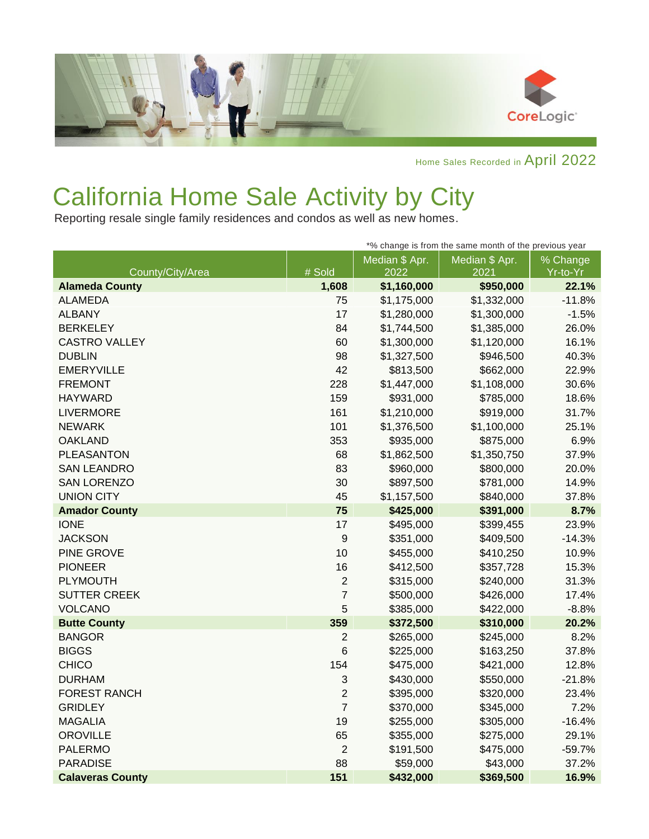

Home Sales Recorded in April 2022

## California Home Sale Activity by City

Reporting resale single family residences and condos as well as new homes.

| *% change is from the same month of the previous year |                  |                |                |          |
|-------------------------------------------------------|------------------|----------------|----------------|----------|
|                                                       |                  | Median \$ Apr. | Median \$ Apr. | % Change |
| County/City/Area                                      | # Sold           | 2022           | 2021           | Yr-to-Yr |
| <b>Alameda County</b>                                 | 1,608            | \$1,160,000    | \$950,000      | 22.1%    |
| <b>ALAMEDA</b>                                        | 75               | \$1,175,000    | \$1,332,000    | $-11.8%$ |
| <b>ALBANY</b>                                         | 17               | \$1,280,000    | \$1,300,000    | $-1.5%$  |
| <b>BERKELEY</b>                                       | 84               | \$1,744,500    | \$1,385,000    | 26.0%    |
| CASTRO VALLEY                                         | 60               | \$1,300,000    | \$1,120,000    | 16.1%    |
| <b>DUBLIN</b>                                         | 98               | \$1,327,500    | \$946,500      | 40.3%    |
| <b>EMERYVILLE</b>                                     | 42               | \$813,500      | \$662,000      | 22.9%    |
| <b>FREMONT</b>                                        | 228              | \$1,447,000    | \$1,108,000    | 30.6%    |
| <b>HAYWARD</b>                                        | 159              | \$931,000      | \$785,000      | 18.6%    |
| <b>LIVERMORE</b>                                      | 161              | \$1,210,000    | \$919,000      | 31.7%    |
| <b>NEWARK</b>                                         | 101              | \$1,376,500    | \$1,100,000    | 25.1%    |
| <b>OAKLAND</b>                                        | 353              | \$935,000      | \$875,000      | 6.9%     |
| <b>PLEASANTON</b>                                     | 68               | \$1,862,500    | \$1,350,750    | 37.9%    |
| <b>SAN LEANDRO</b>                                    | 83               | \$960,000      | \$800,000      | 20.0%    |
| <b>SAN LORENZO</b>                                    | 30               | \$897,500      | \$781,000      | 14.9%    |
| <b>UNION CITY</b>                                     | 45               | \$1,157,500    | \$840,000      | 37.8%    |
| <b>Amador County</b>                                  | 75               | \$425,000      | \$391,000      | 8.7%     |
| <b>IONE</b>                                           | 17               | \$495,000      | \$399,455      | 23.9%    |
| <b>JACKSON</b>                                        | $\boldsymbol{9}$ | \$351,000      | \$409,500      | $-14.3%$ |
| PINE GROVE                                            | 10               | \$455,000      | \$410,250      | 10.9%    |
| <b>PIONEER</b>                                        | 16               | \$412,500      | \$357,728      | 15.3%    |
| <b>PLYMOUTH</b>                                       | $\overline{2}$   | \$315,000      | \$240,000      | 31.3%    |
| <b>SUTTER CREEK</b>                                   | $\overline{7}$   | \$500,000      | \$426,000      | 17.4%    |
| <b>VOLCANO</b>                                        | 5                | \$385,000      | \$422,000      | $-8.8%$  |
| <b>Butte County</b>                                   | 359              | \$372,500      | \$310,000      | 20.2%    |
| <b>BANGOR</b>                                         | $\overline{2}$   | \$265,000      | \$245,000      | 8.2%     |
| <b>BIGGS</b>                                          | 6                | \$225,000      | \$163,250      | 37.8%    |
| <b>CHICO</b>                                          | 154              | \$475,000      | \$421,000      | 12.8%    |
| <b>DURHAM</b>                                         | 3                | \$430,000      | \$550,000      | $-21.8%$ |
| <b>FOREST RANCH</b>                                   | $\overline{2}$   | \$395,000      | \$320,000      | 23.4%    |
| <b>GRIDLEY</b>                                        | $\overline{7}$   | \$370,000      | \$345,000      | 7.2%     |
| <b>MAGALIA</b>                                        | 19               | \$255,000      | \$305,000      | $-16.4%$ |
| <b>OROVILLE</b>                                       | 65               | \$355,000      | \$275,000      | 29.1%    |
| <b>PALERMO</b>                                        | $\overline{2}$   | \$191,500      | \$475,000      | $-59.7%$ |
| <b>PARADISE</b>                                       | 88               | \$59,000       | \$43,000       | 37.2%    |
| <b>Calaveras County</b>                               | 151              | \$432,000      | \$369,500      | 16.9%    |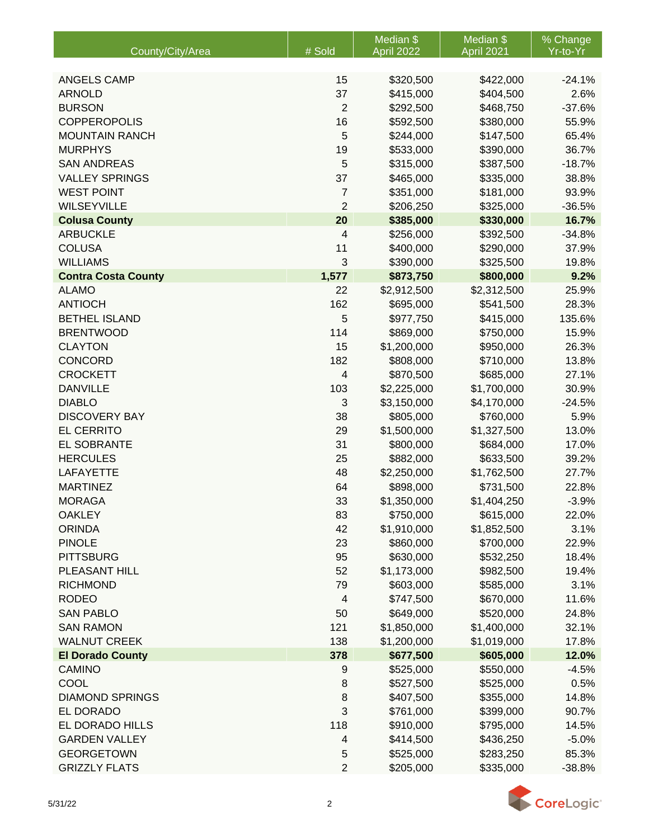|                            |                | Median <sub>\$</sub> | Median \$   | % Change |
|----------------------------|----------------|----------------------|-------------|----------|
| County/City/Area           | # Sold         | <b>April 2022</b>    | April 2021  | Yr-to-Yr |
| <b>ANGELS CAMP</b>         | 15             | \$320,500            | \$422,000   | $-24.1%$ |
| <b>ARNOLD</b>              | 37             | \$415,000            | \$404,500   | 2.6%     |
| <b>BURSON</b>              | $\overline{c}$ | \$292,500            | \$468,750   | $-37.6%$ |
| <b>COPPEROPOLIS</b>        | 16             | \$592,500            | \$380,000   | 55.9%    |
| <b>MOUNTAIN RANCH</b>      | 5              | \$244,000            | \$147,500   | 65.4%    |
| <b>MURPHYS</b>             | 19             | \$533,000            | \$390,000   | 36.7%    |
| <b>SAN ANDREAS</b>         | 5              | \$315,000            | \$387,500   | $-18.7%$ |
| <b>VALLEY SPRINGS</b>      | 37             | \$465,000            | \$335,000   | 38.8%    |
| <b>WEST POINT</b>          | 7              | \$351,000            | \$181,000   | 93.9%    |
| <b>WILSEYVILLE</b>         | $\overline{2}$ | \$206,250            | \$325,000   | $-36.5%$ |
| <b>Colusa County</b>       | 20             | \$385,000            | \$330,000   | 16.7%    |
| <b>ARBUCKLE</b>            | 4              | \$256,000            | \$392,500   | $-34.8%$ |
| <b>COLUSA</b>              | 11             | \$400,000            | \$290,000   | 37.9%    |
| <b>WILLIAMS</b>            | 3              | \$390,000            | \$325,500   | 19.8%    |
| <b>Contra Costa County</b> | 1,577          | \$873,750            | \$800,000   | 9.2%     |
| <b>ALAMO</b>               | 22             | \$2,912,500          | \$2,312,500 | 25.9%    |
| <b>ANTIOCH</b>             | 162            | \$695,000            | \$541,500   | 28.3%    |
| <b>BETHEL ISLAND</b>       | 5              | \$977,750            | \$415,000   | 135.6%   |
| <b>BRENTWOOD</b>           | 114            | \$869,000            | \$750,000   | 15.9%    |
| <b>CLAYTON</b>             | 15             | \$1,200,000          | \$950,000   | 26.3%    |
| <b>CONCORD</b>             | 182            | \$808,000            | \$710,000   | 13.8%    |
| <b>CROCKETT</b>            | 4              | \$870,500            | \$685,000   | 27.1%    |
| <b>DANVILLE</b>            | 103            | \$2,225,000          | \$1,700,000 | 30.9%    |
| <b>DIABLO</b>              | 3              | \$3,150,000          | \$4,170,000 | $-24.5%$ |
| <b>DISCOVERY BAY</b>       | 38             | \$805,000            | \$760,000   | 5.9%     |
| <b>EL CERRITO</b>          | 29             | \$1,500,000          | \$1,327,500 | 13.0%    |
| <b>EL SOBRANTE</b>         | 31             | \$800,000            | \$684,000   | 17.0%    |
| <b>HERCULES</b>            | 25             | \$882,000            | \$633,500   | 39.2%    |
| <b>LAFAYETTE</b>           | 48             | \$2,250,000          | \$1,762,500 | 27.7%    |
| <b>MARTINEZ</b>            | 64             | \$898,000            | \$731,500   | 22.8%    |
| <b>MORAGA</b>              | 33             | \$1,350,000          | \$1,404,250 | $-3.9%$  |
| <b>OAKLEY</b>              | 83             | \$750,000            | \$615,000   | 22.0%    |
| <b>ORINDA</b>              | 42             | \$1,910,000          | \$1,852,500 | 3.1%     |
| <b>PINOLE</b>              | 23             | \$860,000            | \$700,000   | 22.9%    |
| <b>PITTSBURG</b>           | 95             | \$630,000            | \$532,250   | 18.4%    |
| PLEASANT HILL              | 52             | \$1,173,000          | \$982,500   | 19.4%    |
| <b>RICHMOND</b>            | 79             | \$603,000            | \$585,000   | 3.1%     |
| <b>RODEO</b>               | 4              | \$747,500            | \$670,000   | 11.6%    |
| <b>SAN PABLO</b>           | 50             | \$649,000            | \$520,000   | 24.8%    |
| <b>SAN RAMON</b>           | 121            | \$1,850,000          | \$1,400,000 | 32.1%    |
| <b>WALNUT CREEK</b>        | 138            | \$1,200,000          | \$1,019,000 | 17.8%    |
| <b>El Dorado County</b>    | 378            | \$677,500            | \$605,000   | 12.0%    |
| <b>CAMINO</b>              | 9              | \$525,000            | \$550,000   | $-4.5%$  |
| COOL                       | 8              | \$527,500            | \$525,000   | 0.5%     |
| <b>DIAMOND SPRINGS</b>     | 8              | \$407,500            | \$355,000   | 14.8%    |
| EL DORADO                  | 3              | \$761,000            | \$399,000   | 90.7%    |
| EL DORADO HILLS            | 118            | \$910,000            | \$795,000   | 14.5%    |
| <b>GARDEN VALLEY</b>       | 4              | \$414,500            | \$436,250   | $-5.0%$  |
| <b>GEORGETOWN</b>          | 5              | \$525,000            | \$283,250   | 85.3%    |
| <b>GRIZZLY FLATS</b>       | $\overline{2}$ | \$205,000            | \$335,000   | $-38.8%$ |

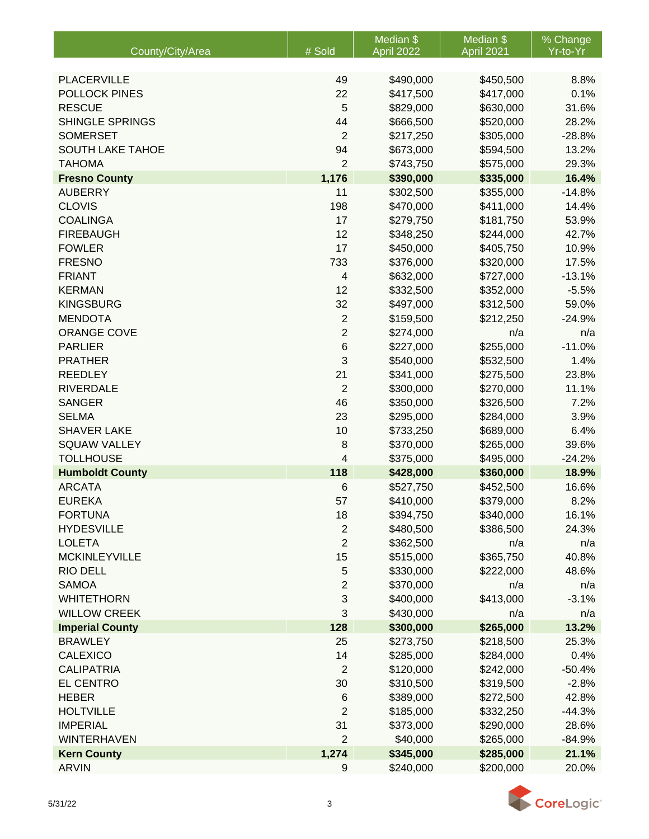|                                          |                              | Median \$              | Median \$        | % Change       |
|------------------------------------------|------------------------------|------------------------|------------------|----------------|
| County/City/Area                         | # Sold                       | April 2022             | April 2021       | Yr-to-Yr       |
| PLACERVILLE                              | 49                           | \$490,000              | \$450,500        | 8.8%           |
| POLLOCK PINES                            | 22                           | \$417,500              | \$417,000        | 0.1%           |
| <b>RESCUE</b>                            | 5                            | \$829,000              | \$630,000        | 31.6%          |
| <b>SHINGLE SPRINGS</b>                   | 44                           | \$666,500              | \$520,000        | 28.2%          |
| <b>SOMERSET</b>                          | $\overline{2}$               | \$217,250              | \$305,000        | $-28.8%$       |
| SOUTH LAKE TAHOE                         | 94                           | \$673,000              | \$594,500        | 13.2%          |
| <b>TAHOMA</b>                            | $\overline{2}$               | \$743,750              | \$575,000        | 29.3%          |
| <b>Fresno County</b>                     | 1,176                        | \$390,000              | \$335,000        | 16.4%          |
| <b>AUBERRY</b>                           | 11                           | \$302,500              | \$355,000        | $-14.8%$       |
| <b>CLOVIS</b>                            | 198                          | \$470,000              | \$411,000        | 14.4%          |
| <b>COALINGA</b>                          | 17                           | \$279,750              | \$181,750        | 53.9%          |
| <b>FIREBAUGH</b>                         | 12                           | \$348,250              | \$244,000        | 42.7%          |
| <b>FOWLER</b>                            | 17                           | \$450,000              | \$405,750        | 10.9%          |
| <b>FRESNO</b>                            | 733                          | \$376,000              | \$320,000        | 17.5%          |
| <b>FRIANT</b>                            | $\overline{4}$               | \$632,000              | \$727,000        | $-13.1%$       |
| <b>KERMAN</b>                            | 12                           | \$332,500              | \$352,000        | $-5.5%$        |
| <b>KINGSBURG</b>                         | 32                           | \$497,000              | \$312,500        | 59.0%          |
| <b>MENDOTA</b>                           | $\sqrt{2}$                   | \$159,500              | \$212,250        | $-24.9%$       |
| <b>ORANGE COVE</b>                       | $\overline{2}$               | \$274,000              | n/a              | n/a            |
| <b>PARLIER</b>                           | 6                            | \$227,000              | \$255,000        | $-11.0%$       |
| <b>PRATHER</b>                           | 3                            | \$540,000              | \$532,500        | 1.4%           |
| <b>REEDLEY</b>                           | 21                           | \$341,000              | \$275,500        | 23.8%          |
| <b>RIVERDALE</b>                         | $\overline{2}$               | \$300,000              | \$270,000        | 11.1%          |
| <b>SANGER</b>                            | 46                           | \$350,000              | \$326,500        | 7.2%           |
| <b>SELMA</b>                             | 23                           | \$295,000              | \$284,000        | 3.9%           |
| <b>SHAVER LAKE</b>                       | 10                           | \$733,250              | \$689,000        | 6.4%           |
| <b>SQUAW VALLEY</b>                      | 8                            | \$370,000              | \$265,000        | 39.6%          |
| <b>TOLLHOUSE</b>                         | 4                            | \$375,000              | \$495,000        | $-24.2%$       |
| <b>Humboldt County</b>                   | 118                          | \$428,000              | \$360,000        | 18.9%          |
| <b>ARCATA</b>                            | 6                            | \$527,750              | \$452,500        | 16.6%          |
| <b>EUREKA</b>                            | 57                           | \$410,000              | \$379,000        | 8.2%           |
| <b>FORTUNA</b>                           | 18                           | \$394,750              | \$340,000        | 16.1%          |
| <b>HYDESVILLE</b>                        | $\mathbf{2}$                 | \$480,500              | \$386,500        | 24.3%          |
| <b>LOLETA</b>                            | $\overline{2}$               | \$362,500              | n/a              | n/a            |
| <b>MCKINLEYVILLE</b>                     | 15                           | \$515,000              | \$365,750        | 40.8%          |
| <b>RIO DELL</b>                          | $\sqrt{5}$<br>$\overline{2}$ | \$330,000              | \$222,000        | 48.6%          |
| <b>SAMOA</b>                             |                              | \$370,000              | n/a              | n/a<br>$-3.1%$ |
| <b>WHITETHORN</b><br><b>WILLOW CREEK</b> | 3<br>3                       | \$400,000              | \$413,000<br>n/a |                |
| <b>Imperial County</b>                   | 128                          | \$430,000<br>\$300,000 | \$265,000        | n/a<br>13.2%   |
| <b>BRAWLEY</b>                           | 25                           | \$273,750              | \$218,500        | 25.3%          |
| <b>CALEXICO</b>                          | 14                           | \$285,000              | \$284,000        | 0.4%           |
| <b>CALIPATRIA</b>                        | $\overline{2}$               | \$120,000              | \$242,000        | $-50.4%$       |
| <b>EL CENTRO</b>                         | 30                           | \$310,500              | \$319,500        | $-2.8%$        |
| <b>HEBER</b>                             | 6                            | \$389,000              | \$272,500        | 42.8%          |
| <b>HOLTVILLE</b>                         | $\overline{2}$               | \$185,000              | \$332,250        | $-44.3%$       |
| <b>IMPERIAL</b>                          | 31                           | \$373,000              | \$290,000        | 28.6%          |
| WINTERHAVEN                              | $\overline{2}$               | \$40,000               | \$265,000        | $-84.9%$       |
| <b>Kern County</b>                       | 1,274                        | \$345,000              | \$285,000        | 21.1%          |
| <b>ARVIN</b>                             | $\boldsymbol{9}$             | \$240,000              | \$200,000        | 20.0%          |

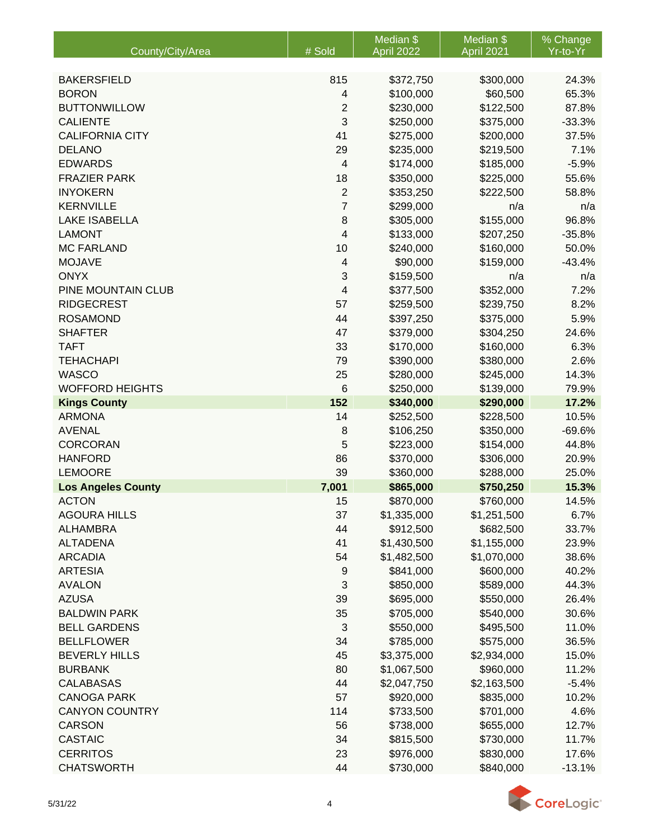| <b>BAKERSFIELD</b><br>815<br>\$372,750<br>\$300,000<br>24.3%<br><b>BORON</b><br>\$100,000<br>\$60,500<br>65.3%<br>4<br>$\overline{2}$<br><b>BUTTONWILLOW</b><br>\$230,000<br>\$122,500<br>87.8%<br>3<br><b>CALIENTE</b><br>\$250,000<br>$-33.3%$<br>\$375,000<br><b>CALIFORNIA CITY</b><br>41<br>37.5%<br>\$275,000<br>\$200,000<br><b>DELANO</b><br>29<br>\$235,000<br>\$219,500<br>7.1%<br><b>EDWARDS</b><br>$\overline{4}$<br>\$174,000<br>\$185,000<br>$-5.9%$<br>18<br><b>FRAZIER PARK</b><br>\$350,000<br>\$225,000<br>55.6%<br>$\sqrt{2}$<br><b>INYOKERN</b><br>\$353,250<br>\$222,500<br>58.8%<br>7<br><b>KERNVILLE</b><br>\$299,000<br>n/a<br>n/a<br>8<br>96.8%<br><b>LAKE ISABELLA</b><br>\$305,000<br>\$155,000<br>4<br><b>LAMONT</b><br>\$133,000<br>$-35.8%$<br>\$207,250<br><b>MC FARLAND</b><br>10<br>\$160,000<br>50.0%<br>\$240,000<br><b>MOJAVE</b><br>$-43.4%$<br>$\overline{4}$<br>\$90,000<br>\$159,000<br>3<br><b>ONYX</b><br>\$159,500<br>n/a<br>n/a<br>PINE MOUNTAIN CLUB<br>4<br>7.2%<br>\$377,500<br>\$352,000<br><b>RIDGECREST</b><br>57<br>\$259,500<br>\$239,750<br>8.2%<br>5.9%<br><b>ROSAMOND</b><br>44<br>\$397,250<br>\$375,000<br>47<br>24.6%<br><b>SHAFTER</b><br>\$379,000<br>\$304,250<br><b>TAFT</b><br>33<br>\$170,000<br>\$160,000<br>6.3%<br><b>TEHACHAPI</b><br>79<br>\$390,000<br>\$380,000<br>2.6%<br><b>WASCO</b><br>25<br>\$280,000<br>14.3%<br>\$245,000 |                        |        | Median \$  | Median \$  | % Change |
|---------------------------------------------------------------------------------------------------------------------------------------------------------------------------------------------------------------------------------------------------------------------------------------------------------------------------------------------------------------------------------------------------------------------------------------------------------------------------------------------------------------------------------------------------------------------------------------------------------------------------------------------------------------------------------------------------------------------------------------------------------------------------------------------------------------------------------------------------------------------------------------------------------------------------------------------------------------------------------------------------------------------------------------------------------------------------------------------------------------------------------------------------------------------------------------------------------------------------------------------------------------------------------------------------------------------------------------------------------------------------------------------------------|------------------------|--------|------------|------------|----------|
|                                                                                                                                                                                                                                                                                                                                                                                                                                                                                                                                                                                                                                                                                                                                                                                                                                                                                                                                                                                                                                                                                                                                                                                                                                                                                                                                                                                                         | County/City/Area       | # Sold | April 2022 | April 2021 | Yr-to-Yr |
|                                                                                                                                                                                                                                                                                                                                                                                                                                                                                                                                                                                                                                                                                                                                                                                                                                                                                                                                                                                                                                                                                                                                                                                                                                                                                                                                                                                                         |                        |        |            |            |          |
|                                                                                                                                                                                                                                                                                                                                                                                                                                                                                                                                                                                                                                                                                                                                                                                                                                                                                                                                                                                                                                                                                                                                                                                                                                                                                                                                                                                                         |                        |        |            |            |          |
|                                                                                                                                                                                                                                                                                                                                                                                                                                                                                                                                                                                                                                                                                                                                                                                                                                                                                                                                                                                                                                                                                                                                                                                                                                                                                                                                                                                                         |                        |        |            |            |          |
|                                                                                                                                                                                                                                                                                                                                                                                                                                                                                                                                                                                                                                                                                                                                                                                                                                                                                                                                                                                                                                                                                                                                                                                                                                                                                                                                                                                                         |                        |        |            |            |          |
|                                                                                                                                                                                                                                                                                                                                                                                                                                                                                                                                                                                                                                                                                                                                                                                                                                                                                                                                                                                                                                                                                                                                                                                                                                                                                                                                                                                                         |                        |        |            |            |          |
|                                                                                                                                                                                                                                                                                                                                                                                                                                                                                                                                                                                                                                                                                                                                                                                                                                                                                                                                                                                                                                                                                                                                                                                                                                                                                                                                                                                                         |                        |        |            |            |          |
|                                                                                                                                                                                                                                                                                                                                                                                                                                                                                                                                                                                                                                                                                                                                                                                                                                                                                                                                                                                                                                                                                                                                                                                                                                                                                                                                                                                                         |                        |        |            |            |          |
|                                                                                                                                                                                                                                                                                                                                                                                                                                                                                                                                                                                                                                                                                                                                                                                                                                                                                                                                                                                                                                                                                                                                                                                                                                                                                                                                                                                                         |                        |        |            |            |          |
|                                                                                                                                                                                                                                                                                                                                                                                                                                                                                                                                                                                                                                                                                                                                                                                                                                                                                                                                                                                                                                                                                                                                                                                                                                                                                                                                                                                                         |                        |        |            |            |          |
|                                                                                                                                                                                                                                                                                                                                                                                                                                                                                                                                                                                                                                                                                                                                                                                                                                                                                                                                                                                                                                                                                                                                                                                                                                                                                                                                                                                                         |                        |        |            |            |          |
|                                                                                                                                                                                                                                                                                                                                                                                                                                                                                                                                                                                                                                                                                                                                                                                                                                                                                                                                                                                                                                                                                                                                                                                                                                                                                                                                                                                                         |                        |        |            |            |          |
|                                                                                                                                                                                                                                                                                                                                                                                                                                                                                                                                                                                                                                                                                                                                                                                                                                                                                                                                                                                                                                                                                                                                                                                                                                                                                                                                                                                                         |                        |        |            |            |          |
|                                                                                                                                                                                                                                                                                                                                                                                                                                                                                                                                                                                                                                                                                                                                                                                                                                                                                                                                                                                                                                                                                                                                                                                                                                                                                                                                                                                                         |                        |        |            |            |          |
|                                                                                                                                                                                                                                                                                                                                                                                                                                                                                                                                                                                                                                                                                                                                                                                                                                                                                                                                                                                                                                                                                                                                                                                                                                                                                                                                                                                                         |                        |        |            |            |          |
|                                                                                                                                                                                                                                                                                                                                                                                                                                                                                                                                                                                                                                                                                                                                                                                                                                                                                                                                                                                                                                                                                                                                                                                                                                                                                                                                                                                                         |                        |        |            |            |          |
|                                                                                                                                                                                                                                                                                                                                                                                                                                                                                                                                                                                                                                                                                                                                                                                                                                                                                                                                                                                                                                                                                                                                                                                                                                                                                                                                                                                                         |                        |        |            |            |          |
|                                                                                                                                                                                                                                                                                                                                                                                                                                                                                                                                                                                                                                                                                                                                                                                                                                                                                                                                                                                                                                                                                                                                                                                                                                                                                                                                                                                                         |                        |        |            |            |          |
|                                                                                                                                                                                                                                                                                                                                                                                                                                                                                                                                                                                                                                                                                                                                                                                                                                                                                                                                                                                                                                                                                                                                                                                                                                                                                                                                                                                                         |                        |        |            |            |          |
|                                                                                                                                                                                                                                                                                                                                                                                                                                                                                                                                                                                                                                                                                                                                                                                                                                                                                                                                                                                                                                                                                                                                                                                                                                                                                                                                                                                                         |                        |        |            |            |          |
|                                                                                                                                                                                                                                                                                                                                                                                                                                                                                                                                                                                                                                                                                                                                                                                                                                                                                                                                                                                                                                                                                                                                                                                                                                                                                                                                                                                                         |                        |        |            |            |          |
|                                                                                                                                                                                                                                                                                                                                                                                                                                                                                                                                                                                                                                                                                                                                                                                                                                                                                                                                                                                                                                                                                                                                                                                                                                                                                                                                                                                                         |                        |        |            |            |          |
|                                                                                                                                                                                                                                                                                                                                                                                                                                                                                                                                                                                                                                                                                                                                                                                                                                                                                                                                                                                                                                                                                                                                                                                                                                                                                                                                                                                                         |                        |        |            |            |          |
|                                                                                                                                                                                                                                                                                                                                                                                                                                                                                                                                                                                                                                                                                                                                                                                                                                                                                                                                                                                                                                                                                                                                                                                                                                                                                                                                                                                                         |                        |        |            |            |          |
|                                                                                                                                                                                                                                                                                                                                                                                                                                                                                                                                                                                                                                                                                                                                                                                                                                                                                                                                                                                                                                                                                                                                                                                                                                                                                                                                                                                                         | <b>WOFFORD HEIGHTS</b> | 6      | \$250,000  | \$139,000  | 79.9%    |
| 152<br>\$340,000<br>\$290,000<br>17.2%<br><b>Kings County</b>                                                                                                                                                                                                                                                                                                                                                                                                                                                                                                                                                                                                                                                                                                                                                                                                                                                                                                                                                                                                                                                                                                                                                                                                                                                                                                                                           |                        |        |            |            |          |
| <b>ARMONA</b><br>14<br>\$252,500<br>10.5%<br>\$228,500                                                                                                                                                                                                                                                                                                                                                                                                                                                                                                                                                                                                                                                                                                                                                                                                                                                                                                                                                                                                                                                                                                                                                                                                                                                                                                                                                  |                        |        |            |            |          |
| 8<br><b>AVENAL</b><br>\$106,250<br>\$350,000<br>$-69.6%$                                                                                                                                                                                                                                                                                                                                                                                                                                                                                                                                                                                                                                                                                                                                                                                                                                                                                                                                                                                                                                                                                                                                                                                                                                                                                                                                                |                        |        |            |            |          |
| 5<br><b>CORCORAN</b><br>\$223,000<br>44.8%<br>\$154,000<br><b>HANFORD</b>                                                                                                                                                                                                                                                                                                                                                                                                                                                                                                                                                                                                                                                                                                                                                                                                                                                                                                                                                                                                                                                                                                                                                                                                                                                                                                                               |                        |        |            |            |          |
| 86<br>\$370,000<br>\$306,000<br>20.9%                                                                                                                                                                                                                                                                                                                                                                                                                                                                                                                                                                                                                                                                                                                                                                                                                                                                                                                                                                                                                                                                                                                                                                                                                                                                                                                                                                   |                        |        |            |            |          |
| 39<br><b>LEMOORE</b><br>\$360,000<br>\$288,000<br>25.0%<br>15.3%                                                                                                                                                                                                                                                                                                                                                                                                                                                                                                                                                                                                                                                                                                                                                                                                                                                                                                                                                                                                                                                                                                                                                                                                                                                                                                                                        |                        |        |            |            |          |
| 7,001<br>\$865,000<br>\$750,250<br><b>Los Angeles County</b><br><b>ACTON</b><br>15<br>\$760,000<br>14.5%                                                                                                                                                                                                                                                                                                                                                                                                                                                                                                                                                                                                                                                                                                                                                                                                                                                                                                                                                                                                                                                                                                                                                                                                                                                                                                |                        |        |            |            |          |
| \$870,000                                                                                                                                                                                                                                                                                                                                                                                                                                                                                                                                                                                                                                                                                                                                                                                                                                                                                                                                                                                                                                                                                                                                                                                                                                                                                                                                                                                               |                        |        |            |            |          |
| <b>AGOURA HILLS</b><br>37<br>\$1,335,000<br>\$1,251,500<br>6.7%<br>44<br><b>ALHAMBRA</b>                                                                                                                                                                                                                                                                                                                                                                                                                                                                                                                                                                                                                                                                                                                                                                                                                                                                                                                                                                                                                                                                                                                                                                                                                                                                                                                |                        |        |            |            |          |
| \$912,500<br>\$682,500<br>33.7%<br><b>ALTADENA</b><br>41                                                                                                                                                                                                                                                                                                                                                                                                                                                                                                                                                                                                                                                                                                                                                                                                                                                                                                                                                                                                                                                                                                                                                                                                                                                                                                                                                |                        |        |            |            |          |
| \$1,430,500<br>\$1,155,000<br>23.9%<br><b>ARCADIA</b><br>54<br>\$1,482,500<br>\$1,070,000                                                                                                                                                                                                                                                                                                                                                                                                                                                                                                                                                                                                                                                                                                                                                                                                                                                                                                                                                                                                                                                                                                                                                                                                                                                                                                               |                        |        |            |            |          |
| 38.6%<br>\$841,000<br>\$600,000<br><b>ARTESIA</b><br>40.2%                                                                                                                                                                                                                                                                                                                                                                                                                                                                                                                                                                                                                                                                                                                                                                                                                                                                                                                                                                                                                                                                                                                                                                                                                                                                                                                                              |                        |        |            |            |          |
| 9<br>3<br><b>AVALON</b><br>\$850,000<br>\$589,000<br>44.3%                                                                                                                                                                                                                                                                                                                                                                                                                                                                                                                                                                                                                                                                                                                                                                                                                                                                                                                                                                                                                                                                                                                                                                                                                                                                                                                                              |                        |        |            |            |          |
| <b>AZUSA</b><br>\$695,000<br>39<br>\$550,000<br>26.4%                                                                                                                                                                                                                                                                                                                                                                                                                                                                                                                                                                                                                                                                                                                                                                                                                                                                                                                                                                                                                                                                                                                                                                                                                                                                                                                                                   |                        |        |            |            |          |
| <b>BALDWIN PARK</b><br>35<br>\$705,000<br>\$540,000<br>30.6%                                                                                                                                                                                                                                                                                                                                                                                                                                                                                                                                                                                                                                                                                                                                                                                                                                                                                                                                                                                                                                                                                                                                                                                                                                                                                                                                            |                        |        |            |            |          |
| <b>BELL GARDENS</b><br>$\sqrt{3}$<br>\$550,000<br>\$495,500<br>11.0%                                                                                                                                                                                                                                                                                                                                                                                                                                                                                                                                                                                                                                                                                                                                                                                                                                                                                                                                                                                                                                                                                                                                                                                                                                                                                                                                    |                        |        |            |            |          |
| <b>BELLFLOWER</b><br>34<br>\$785,000<br>\$575,000<br>36.5%                                                                                                                                                                                                                                                                                                                                                                                                                                                                                                                                                                                                                                                                                                                                                                                                                                                                                                                                                                                                                                                                                                                                                                                                                                                                                                                                              |                        |        |            |            |          |
| <b>BEVERLY HILLS</b><br>45<br>\$2,934,000<br>\$3,375,000<br>15.0%                                                                                                                                                                                                                                                                                                                                                                                                                                                                                                                                                                                                                                                                                                                                                                                                                                                                                                                                                                                                                                                                                                                                                                                                                                                                                                                                       |                        |        |            |            |          |
| 80<br><b>BURBANK</b><br>\$1,067,500<br>\$960,000<br>11.2%                                                                                                                                                                                                                                                                                                                                                                                                                                                                                                                                                                                                                                                                                                                                                                                                                                                                                                                                                                                                                                                                                                                                                                                                                                                                                                                                               |                        |        |            |            |          |
| 44<br>\$2,163,500<br><b>CALABASAS</b><br>\$2,047,750<br>$-5.4%$                                                                                                                                                                                                                                                                                                                                                                                                                                                                                                                                                                                                                                                                                                                                                                                                                                                                                                                                                                                                                                                                                                                                                                                                                                                                                                                                         |                        |        |            |            |          |
| <b>CANOGA PARK</b><br>57<br>\$835,000<br>\$920,000<br>10.2%                                                                                                                                                                                                                                                                                                                                                                                                                                                                                                                                                                                                                                                                                                                                                                                                                                                                                                                                                                                                                                                                                                                                                                                                                                                                                                                                             |                        |        |            |            |          |
| <b>CANYON COUNTRY</b><br>114<br>\$701,000<br>\$733,500<br>4.6%                                                                                                                                                                                                                                                                                                                                                                                                                                                                                                                                                                                                                                                                                                                                                                                                                                                                                                                                                                                                                                                                                                                                                                                                                                                                                                                                          |                        |        |            |            |          |
| <b>CARSON</b><br>56<br>\$655,000<br>\$738,000<br>12.7%                                                                                                                                                                                                                                                                                                                                                                                                                                                                                                                                                                                                                                                                                                                                                                                                                                                                                                                                                                                                                                                                                                                                                                                                                                                                                                                                                  |                        |        |            |            |          |
| <b>CASTAIC</b><br>11.7%<br>34<br>\$815,500<br>\$730,000                                                                                                                                                                                                                                                                                                                                                                                                                                                                                                                                                                                                                                                                                                                                                                                                                                                                                                                                                                                                                                                                                                                                                                                                                                                                                                                                                 |                        |        |            |            |          |
| <b>CERRITOS</b><br>23<br>\$976,000<br>\$830,000<br>17.6%                                                                                                                                                                                                                                                                                                                                                                                                                                                                                                                                                                                                                                                                                                                                                                                                                                                                                                                                                                                                                                                                                                                                                                                                                                                                                                                                                |                        |        |            |            |          |
| 44<br><b>CHATSWORTH</b><br>\$730,000<br>\$840,000<br>$-13.1%$                                                                                                                                                                                                                                                                                                                                                                                                                                                                                                                                                                                                                                                                                                                                                                                                                                                                                                                                                                                                                                                                                                                                                                                                                                                                                                                                           |                        |        |            |            |          |

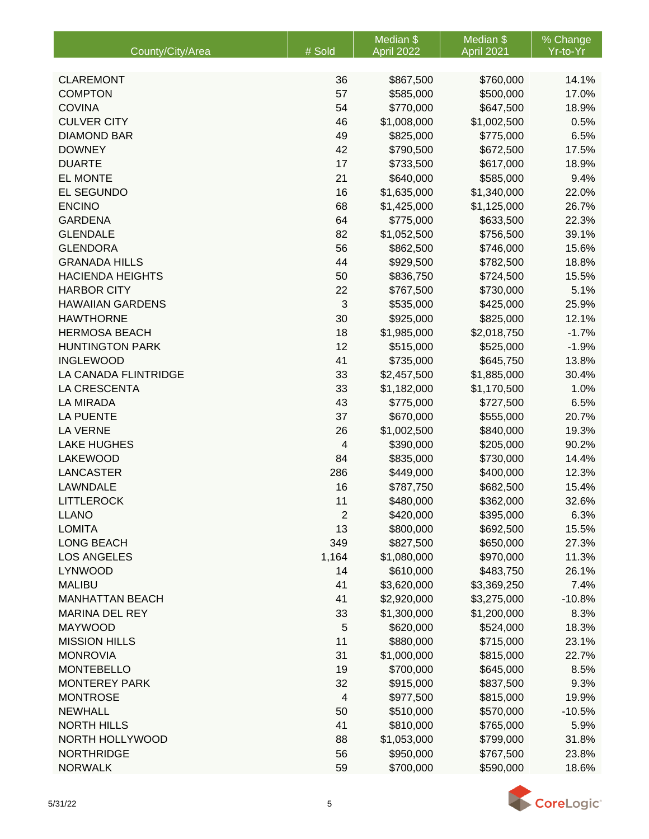|                         |                         | Median \$   | Median \$   | % Change |
|-------------------------|-------------------------|-------------|-------------|----------|
| County/City/Area        | # Sold                  | April 2022  | April 2021  | Yr-to-Yr |
|                         |                         |             |             |          |
| <b>CLAREMONT</b>        | 36                      | \$867,500   | \$760,000   | 14.1%    |
| <b>COMPTON</b>          | 57                      | \$585,000   | \$500,000   | 17.0%    |
| <b>COVINA</b>           | 54                      | \$770,000   | \$647,500   | 18.9%    |
| <b>CULVER CITY</b>      | 46                      | \$1,008,000 | \$1,002,500 | 0.5%     |
| <b>DIAMOND BAR</b>      | 49                      | \$825,000   | \$775,000   | 6.5%     |
| <b>DOWNEY</b>           | 42                      | \$790,500   | \$672,500   | 17.5%    |
| <b>DUARTE</b>           | 17                      | \$733,500   | \$617,000   | 18.9%    |
| <b>EL MONTE</b>         | 21                      | \$640,000   | \$585,000   | 9.4%     |
| <b>EL SEGUNDO</b>       | 16                      | \$1,635,000 | \$1,340,000 | 22.0%    |
| <b>ENCINO</b>           | 68                      | \$1,425,000 | \$1,125,000 | 26.7%    |
| <b>GARDENA</b>          | 64                      | \$775,000   | \$633,500   | 22.3%    |
| <b>GLENDALE</b>         | 82                      | \$1,052,500 | \$756,500   | 39.1%    |
| <b>GLENDORA</b>         | 56                      | \$862,500   | \$746,000   | 15.6%    |
| <b>GRANADA HILLS</b>    | 44                      | \$929,500   | \$782,500   | 18.8%    |
| <b>HACIENDA HEIGHTS</b> | 50                      | \$836,750   | \$724,500   | 15.5%    |
| <b>HARBOR CITY</b>      | 22                      | \$767,500   | \$730,000   | 5.1%     |
| <b>HAWAIIAN GARDENS</b> | 3                       | \$535,000   | \$425,000   | 25.9%    |
| <b>HAWTHORNE</b>        | 30                      | \$925,000   | \$825,000   | 12.1%    |
| <b>HERMOSA BEACH</b>    | 18                      | \$1,985,000 | \$2,018,750 | $-1.7%$  |
| <b>HUNTINGTON PARK</b>  | 12                      | \$515,000   | \$525,000   | $-1.9%$  |
| <b>INGLEWOOD</b>        | 41                      | \$735,000   | \$645,750   | 13.8%    |
| LA CANADA FLINTRIDGE    | 33                      | \$2,457,500 | \$1,885,000 | 30.4%    |
| LA CRESCENTA            | 33                      | \$1,182,000 | \$1,170,500 | 1.0%     |
| <b>LA MIRADA</b>        | 43                      | \$775,000   | \$727,500   | 6.5%     |
| <b>LA PUENTE</b>        | 37                      | \$670,000   | \$555,000   | 20.7%    |
| <b>LA VERNE</b>         | 26                      | \$1,002,500 | \$840,000   | 19.3%    |
| <b>LAKE HUGHES</b>      | $\overline{\mathbf{4}}$ | \$390,000   | \$205,000   | 90.2%    |
| <b>LAKEWOOD</b>         | 84                      | \$835,000   | \$730,000   | 14.4%    |
| <b>LANCASTER</b>        | 286                     | \$449,000   | \$400,000   | 12.3%    |
| LAWNDALE                | 16                      | \$787,750   | \$682,500   | 15.4%    |
| <b>LITTLEROCK</b>       | 11                      | \$480,000   | \$362,000   | 32.6%    |
| <b>LLANO</b>            | $\overline{2}$          | \$420,000   | \$395,000   | 6.3%     |
| <b>LOMITA</b>           | 13                      | \$800,000   | \$692,500   | 15.5%    |
| <b>LONG BEACH</b>       | 349                     | \$827,500   | \$650,000   | 27.3%    |
| <b>LOS ANGELES</b>      | 1,164                   | \$1,080,000 | \$970,000   | 11.3%    |
| <b>LYNWOOD</b>          | 14                      | \$610,000   | \$483,750   | 26.1%    |
| <b>MALIBU</b>           | 41                      | \$3,620,000 | \$3,369,250 | 7.4%     |
| <b>MANHATTAN BEACH</b>  | 41                      | \$2,920,000 | \$3,275,000 | $-10.8%$ |
| <b>MARINA DEL REY</b>   | 33                      | \$1,300,000 | \$1,200,000 | 8.3%     |
| <b>MAYWOOD</b>          | 5                       | \$620,000   | \$524,000   | 18.3%    |
| <b>MISSION HILLS</b>    | 11                      | \$880,000   | \$715,000   | 23.1%    |
| <b>MONROVIA</b>         | 31                      | \$1,000,000 | \$815,000   | 22.7%    |
| <b>MONTEBELLO</b>       | 19                      | \$700,000   | \$645,000   | 8.5%     |
| <b>MONTEREY PARK</b>    | 32                      | \$915,000   | \$837,500   | 9.3%     |
| <b>MONTROSE</b>         | $\overline{\mathbf{4}}$ | \$977,500   | \$815,000   | 19.9%    |
| <b>NEWHALL</b>          | 50                      | \$510,000   | \$570,000   | $-10.5%$ |
| <b>NORTH HILLS</b>      | 41                      | \$810,000   | \$765,000   | 5.9%     |
| NORTH HOLLYWOOD         | 88                      | \$1,053,000 | \$799,000   | 31.8%    |
| <b>NORTHRIDGE</b>       | 56                      | \$950,000   | \$767,500   | 23.8%    |
| <b>NORWALK</b>          | 59                      | \$700,000   | \$590,000   | 18.6%    |

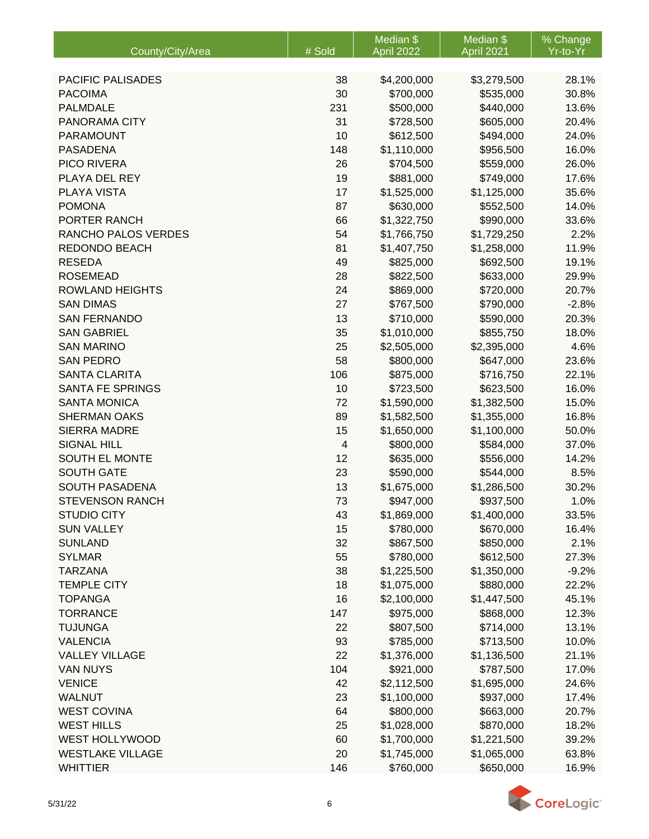|                          |                         | Median \$   | Median \$   | % Change |
|--------------------------|-------------------------|-------------|-------------|----------|
| County/City/Area         | # Sold                  | April 2022  | April 2021  | Yr-to-Yr |
|                          |                         |             |             |          |
| <b>PACIFIC PALISADES</b> | 38                      | \$4,200,000 | \$3,279,500 | 28.1%    |
| <b>PACOIMA</b>           | 30                      | \$700,000   | \$535,000   | 30.8%    |
| <b>PALMDALE</b>          | 231                     | \$500,000   | \$440,000   | 13.6%    |
| PANORAMA CITY            | 31                      | \$728,500   | \$605,000   | 20.4%    |
| <b>PARAMOUNT</b>         | 10                      | \$612,500   | \$494,000   | 24.0%    |
| <b>PASADENA</b>          | 148                     | \$1,110,000 | \$956,500   | 16.0%    |
| PICO RIVERA              | 26                      | \$704,500   | \$559,000   | 26.0%    |
| PLAYA DEL REY            | 19                      | \$881,000   | \$749,000   | 17.6%    |
| PLAYA VISTA              | 17                      | \$1,525,000 | \$1,125,000 | 35.6%    |
| <b>POMONA</b>            | 87                      | \$630,000   | \$552,500   | 14.0%    |
| PORTER RANCH             | 66                      | \$1,322,750 | \$990,000   | 33.6%    |
| RANCHO PALOS VERDES      | 54                      | \$1,766,750 | \$1,729,250 | 2.2%     |
| <b>REDONDO BEACH</b>     | 81                      | \$1,407,750 | \$1,258,000 | 11.9%    |
| <b>RESEDA</b>            | 49                      | \$825,000   | \$692,500   | 19.1%    |
| <b>ROSEMEAD</b>          | 28                      | \$822,500   | \$633,000   | 29.9%    |
| <b>ROWLAND HEIGHTS</b>   | 24                      | \$869,000   | \$720,000   | 20.7%    |
| <b>SAN DIMAS</b>         | 27                      | \$767,500   | \$790,000   | $-2.8%$  |
| <b>SAN FERNANDO</b>      | 13                      | \$710,000   | \$590,000   | 20.3%    |
| <b>SAN GABRIEL</b>       | 35                      | \$1,010,000 | \$855,750   | 18.0%    |
| <b>SAN MARINO</b>        | 25                      | \$2,505,000 | \$2,395,000 | 4.6%     |
| <b>SAN PEDRO</b>         | 58                      | \$800,000   | \$647,000   | 23.6%    |
| <b>SANTA CLARITA</b>     | 106                     | \$875,000   | \$716,750   | 22.1%    |
| <b>SANTA FE SPRINGS</b>  | 10                      | \$723,500   | \$623,500   | 16.0%    |
| <b>SANTA MONICA</b>      | 72                      | \$1,590,000 | \$1,382,500 | 15.0%    |
| <b>SHERMAN OAKS</b>      | 89                      | \$1,582,500 | \$1,355,000 | 16.8%    |
| <b>SIERRA MADRE</b>      | 15                      | \$1,650,000 | \$1,100,000 | 50.0%    |
| <b>SIGNAL HILL</b>       | $\overline{\mathbf{4}}$ | \$800,000   | \$584,000   | 37.0%    |
| SOUTH EL MONTE           | 12                      | \$635,000   | \$556,000   | 14.2%    |
| <b>SOUTH GATE</b>        | 23                      | \$590,000   | \$544,000   | 8.5%     |
| <b>SOUTH PASADENA</b>    | 13                      | \$1,675,000 | \$1,286,500 | 30.2%    |
| <b>STEVENSON RANCH</b>   | 73                      | \$947,000   | \$937,500   | 1.0%     |
| <b>STUDIO CITY</b>       | 43                      | \$1,869,000 | \$1,400,000 | 33.5%    |
| <b>SUN VALLEY</b>        | 15                      | \$780,000   | \$670,000   | 16.4%    |
| <b>SUNLAND</b>           | 32                      | \$867,500   | \$850,000   | 2.1%     |
| <b>SYLMAR</b>            | 55                      | \$780,000   | \$612,500   | 27.3%    |
| <b>TARZANA</b>           | 38                      | \$1,225,500 | \$1,350,000 | $-9.2%$  |
| <b>TEMPLE CITY</b>       | 18                      | \$1,075,000 | \$880,000   | 22.2%    |
| <b>TOPANGA</b>           | 16                      | \$2,100,000 | \$1,447,500 | 45.1%    |
| <b>TORRANCE</b>          | 147                     | \$975,000   | \$868,000   | 12.3%    |
| <b>TUJUNGA</b>           | 22                      | \$807,500   | \$714,000   | 13.1%    |
| <b>VALENCIA</b>          | 93                      | \$785,000   | \$713,500   | 10.0%    |
| <b>VALLEY VILLAGE</b>    | 22                      | \$1,376,000 | \$1,136,500 | 21.1%    |
| <b>VAN NUYS</b>          | 104                     | \$921,000   | \$787,500   | 17.0%    |
| <b>VENICE</b>            | 42                      | \$2,112,500 | \$1,695,000 | 24.6%    |
| <b>WALNUT</b>            | 23                      | \$1,100,000 | \$937,000   | 17.4%    |
| <b>WEST COVINA</b>       | 64                      | \$800,000   | \$663,000   | 20.7%    |
| <b>WEST HILLS</b>        | 25                      | \$1,028,000 | \$870,000   | 18.2%    |
| <b>WEST HOLLYWOOD</b>    | 60                      | \$1,700,000 | \$1,221,500 | 39.2%    |
| <b>WESTLAKE VILLAGE</b>  | 20                      | \$1,745,000 | \$1,065,000 | 63.8%    |
| <b>WHITTIER</b>          | 146                     | \$760,000   | \$650,000   | 16.9%    |

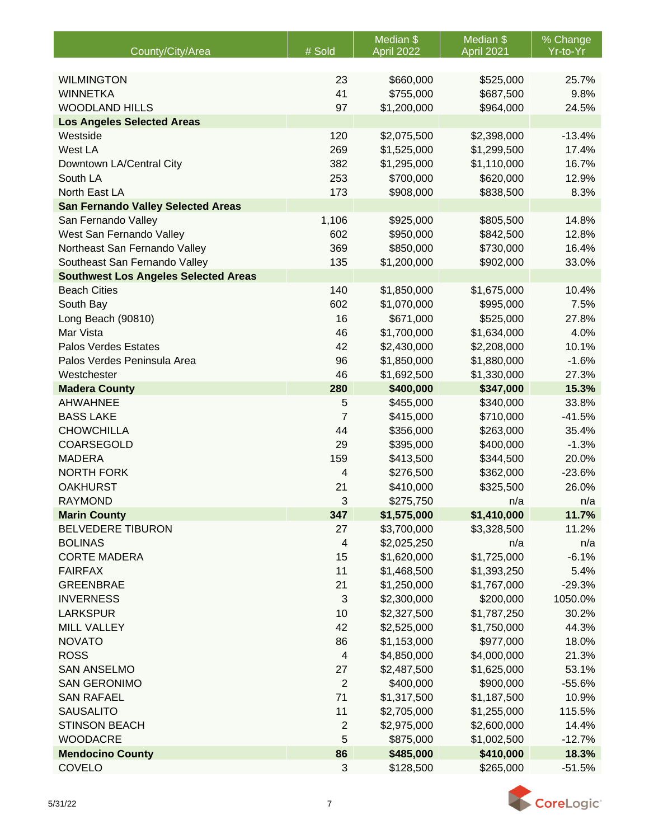|                                               |                         | Median \$                  | Median \$                  | % Change      |
|-----------------------------------------------|-------------------------|----------------------------|----------------------------|---------------|
| County/City/Area                              | # Sold                  | April 2022                 | <b>April 2021</b>          | Yr-to-Yr      |
|                                               |                         |                            |                            |               |
| <b>WILMINGTON</b>                             | 23                      | \$660,000                  | \$525,000                  | 25.7%         |
| <b>WINNETKA</b>                               | 41                      | \$755,000                  | \$687,500                  | 9.8%          |
| <b>WOODLAND HILLS</b>                         | 97                      | \$1,200,000                | \$964,000                  | 24.5%         |
| <b>Los Angeles Selected Areas</b><br>Westside | 120                     |                            |                            | $-13.4%$      |
| West LA                                       | 269                     | \$2,075,500                | \$2,398,000<br>\$1,299,500 | 17.4%         |
|                                               | 382                     | \$1,525,000<br>\$1,295,000 | \$1,110,000                | 16.7%         |
| Downtown LA/Central City<br>South LA          |                         |                            |                            |               |
| North East LA                                 | 253<br>173              | \$700,000<br>\$908,000     | \$620,000<br>\$838,500     | 12.9%<br>8.3% |
| <b>San Fernando Valley Selected Areas</b>     |                         |                            |                            |               |
| San Fernando Valley                           | 1,106                   | \$925,000                  | \$805,500                  | 14.8%         |
| West San Fernando Valley                      | 602                     | \$950,000                  | \$842,500                  | 12.8%         |
| Northeast San Fernando Valley                 | 369                     | \$850,000                  | \$730,000                  | 16.4%         |
| Southeast San Fernando Valley                 | 135                     | \$1,200,000                | \$902,000                  | 33.0%         |
| <b>Southwest Los Angeles Selected Areas</b>   |                         |                            |                            |               |
| <b>Beach Cities</b>                           | 140                     | \$1,850,000                | \$1,675,000                | 10.4%         |
| South Bay                                     | 602                     | \$1,070,000                | \$995,000                  | 7.5%          |
| Long Beach (90810)                            | 16                      | \$671,000                  | \$525,000                  | 27.8%         |
| Mar Vista                                     | 46                      | \$1,700,000                | \$1,634,000                | 4.0%          |
| <b>Palos Verdes Estates</b>                   | 42                      | \$2,430,000                | \$2,208,000                | 10.1%         |
| Palos Verdes Peninsula Area                   | 96                      | \$1,850,000                | \$1,880,000                | $-1.6%$       |
| Westchester                                   | 46                      | \$1,692,500                | \$1,330,000                | 27.3%         |
| <b>Madera County</b>                          | 280                     | \$400,000                  | \$347,000                  | 15.3%         |
| <b>AHWAHNEE</b>                               | 5                       | \$455,000                  | \$340,000                  | 33.8%         |
| <b>BASS LAKE</b>                              | $\overline{7}$          | \$415,000                  | \$710,000                  | $-41.5%$      |
| <b>CHOWCHILLA</b>                             | 44                      | \$356,000                  | \$263,000                  | 35.4%         |
| COARSEGOLD                                    | 29                      | \$395,000                  | \$400,000                  | $-1.3%$       |
| <b>MADERA</b>                                 | 159                     | \$413,500                  | \$344,500                  | 20.0%         |
| <b>NORTH FORK</b>                             | 4                       | \$276,500                  | \$362,000                  | $-23.6%$      |
| <b>OAKHURST</b>                               | 21                      | \$410,000                  | \$325,500                  | 26.0%         |
| <b>RAYMOND</b>                                | 3                       | \$275,750                  | n/a                        | n/a           |
| <b>Marin County</b>                           | 347                     | \$1,575,000                | \$1,410,000                | 11.7%         |
| BELVEDERE TIBURON                             | 27                      | \$3,700,000                | \$3,328,500                | 11.2%         |
| <b>BOLINAS</b>                                | $\overline{\mathbf{4}}$ | \$2,025,250                | n/a                        | n/a           |
| <b>CORTE MADERA</b>                           | 15                      | \$1,620,000                | \$1,725,000                | $-6.1%$       |
| <b>FAIRFAX</b>                                | 11                      | \$1,468,500                | \$1,393,250                | 5.4%          |
| <b>GREENBRAE</b>                              | 21                      | \$1,250,000                | \$1,767,000                | $-29.3%$      |
| <b>INVERNESS</b>                              | 3                       | \$2,300,000                | \$200,000                  | 1050.0%       |
| <b>LARKSPUR</b>                               | 10                      | \$2,327,500                | \$1,787,250                | 30.2%         |
| <b>MILL VALLEY</b>                            | 42                      | \$2,525,000                | \$1,750,000                | 44.3%         |
| <b>NOVATO</b>                                 | 86                      | \$1,153,000                | \$977,000                  | 18.0%         |
| <b>ROSS</b>                                   | $\overline{4}$          | \$4,850,000                | \$4,000,000                | 21.3%         |
| <b>SAN ANSELMO</b>                            | 27                      | \$2,487,500                | \$1,625,000                | 53.1%         |
| <b>SAN GERONIMO</b>                           | $\overline{2}$          | \$400,000                  | \$900,000                  | $-55.6%$      |
| <b>SAN RAFAEL</b>                             | 71                      | \$1,317,500                | \$1,187,500                | 10.9%         |
| <b>SAUSALITO</b>                              | 11                      | \$2,705,000                | \$1,255,000                | 115.5%        |
| <b>STINSON BEACH</b>                          | $\overline{2}$          | \$2,975,000                | \$2,600,000                | 14.4%         |
| <b>WOODACRE</b>                               | 5                       | \$875,000                  | \$1,002,500                | $-12.7%$      |
| <b>Mendocino County</b>                       | 86                      | \$485,000                  | \$410,000                  | 18.3%         |
| COVELO                                        | 3                       | \$128,500                  | \$265,000                  | $-51.5%$      |

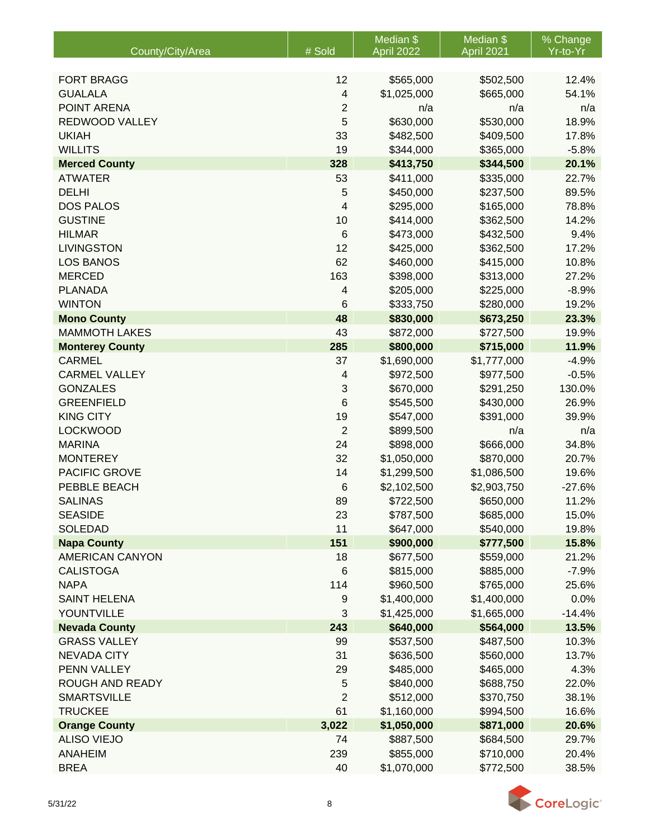| # Sold<br>Yr-to-Yr<br>County/City/Area<br>April 2022<br>April 2021<br><b>FORT BRAGG</b><br>12<br>\$565,000<br>\$502,500<br><b>GUALALA</b><br>$\overline{\mathcal{A}}$<br>\$1,025,000<br>\$665,000 | 12.4%<br>54.1% |
|---------------------------------------------------------------------------------------------------------------------------------------------------------------------------------------------------|----------------|
|                                                                                                                                                                                                   |                |
|                                                                                                                                                                                                   |                |
|                                                                                                                                                                                                   |                |
|                                                                                                                                                                                                   |                |
| POINT ARENA<br>$\overline{2}$<br>n/a<br>n/a                                                                                                                                                       | n/a            |
| 5<br>REDWOOD VALLEY<br>\$630,000<br>\$530,000                                                                                                                                                     | 18.9%          |
| <b>UKIAH</b><br>33<br>\$482,500<br>\$409,500                                                                                                                                                      | 17.8%          |
| 19<br><b>WILLITS</b><br>\$344,000<br>\$365,000                                                                                                                                                    | $-5.8%$        |
| 328<br><b>Merced County</b><br>\$413,750<br>\$344,500                                                                                                                                             | 20.1%          |
| <b>ATWATER</b><br>53<br>\$411,000<br>\$335,000                                                                                                                                                    | 22.7%          |
| <b>DELHI</b><br>5<br>\$450,000<br>\$237,500                                                                                                                                                       | 89.5%          |
| <b>DOS PALOS</b><br>4<br>\$295,000<br>\$165,000                                                                                                                                                   | 78.8%          |
| <b>GUSTINE</b><br>10<br>\$414,000<br>\$362,500                                                                                                                                                    | 14.2%          |
| <b>HILMAR</b><br>$6\phantom{1}6$<br>\$473,000<br>\$432,500                                                                                                                                        | 9.4%           |
| <b>LIVINGSTON</b><br>12<br>\$425,000<br>\$362,500                                                                                                                                                 | 17.2%          |
| 62<br><b>LOS BANOS</b><br>\$460,000<br>\$415,000                                                                                                                                                  | 10.8%          |
| 163<br><b>MERCED</b><br>\$398,000<br>\$313,000                                                                                                                                                    | 27.2%          |
| <b>PLANADA</b><br>$\overline{\mathcal{L}}$<br>\$205,000<br>\$225,000                                                                                                                              | $-8.9%$        |
| <b>WINTON</b><br>6<br>\$333,750<br>\$280,000                                                                                                                                                      | 19.2%          |
| <b>Mono County</b><br>48<br>\$830,000<br>\$673,250                                                                                                                                                | 23.3%          |
| 43<br><b>MAMMOTH LAKES</b><br>\$872,000<br>\$727,500                                                                                                                                              | 19.9%          |
| 285<br>\$800,000<br>\$715,000<br><b>Monterey County</b>                                                                                                                                           | 11.9%          |
| 37<br><b>CARMEL</b><br>\$1,690,000<br>\$1,777,000                                                                                                                                                 | $-4.9%$        |
| <b>CARMEL VALLEY</b><br>\$972,500<br>$\overline{4}$<br>\$977,500                                                                                                                                  | $-0.5%$        |
| <b>GONZALES</b><br>3<br>\$670,000<br>130.0%<br>\$291,250                                                                                                                                          |                |
| 6<br><b>GREENFIELD</b><br>\$430,000<br>\$545,500                                                                                                                                                  | 26.9%          |
| 19<br><b>KING CITY</b><br>\$547,000<br>\$391,000                                                                                                                                                  | 39.9%          |
| <b>LOCKWOOD</b><br>$\overline{2}$<br>\$899,500<br>n/a                                                                                                                                             | n/a            |
| <b>MARINA</b><br>24<br>\$898,000<br>\$666,000                                                                                                                                                     | 34.8%          |
| 32<br><b>MONTEREY</b><br>\$1,050,000<br>\$870,000                                                                                                                                                 | 20.7%          |
| PACIFIC GROVE<br>14<br>\$1,086,500<br>\$1,299,500                                                                                                                                                 | 19.6%          |
| PEBBLE BEACH<br>$\,6$<br>\$2,102,500<br>\$2,903,750<br>$-27.6%$                                                                                                                                   |                |
| <b>SALINAS</b><br>89<br>\$722,500<br>\$650,000                                                                                                                                                    | 11.2%          |
| <b>SEASIDE</b><br>23<br>\$787,500<br>\$685,000                                                                                                                                                    | 15.0%          |
| 11<br><b>SOLEDAD</b><br>\$647,000<br>\$540,000                                                                                                                                                    | 19.8%          |
| 151<br><b>Napa County</b><br>\$900,000<br>\$777,500                                                                                                                                               | 15.8%          |
| <b>AMERICAN CANYON</b><br>18<br>\$677,500<br>\$559,000                                                                                                                                            | 21.2%          |
| <b>CALISTOGA</b><br>6<br>\$815,000<br>\$885,000<br><b>NAPA</b>                                                                                                                                    | $-7.9%$        |
| 114<br>\$960,500<br>\$765,000<br><b>SAINT HELENA</b>                                                                                                                                              | 25.6%          |
| \$1,400,000<br>\$1,400,000<br>9<br>3<br>YOUNTVILLE<br>\$1,425,000<br>\$1,665,000<br>$-14.4%$                                                                                                      | 0.0%           |
| <b>Nevada County</b><br>243<br>\$640,000<br>\$564,000                                                                                                                                             | 13.5%          |
| <b>GRASS VALLEY</b><br>99<br>\$537,500<br>\$487,500                                                                                                                                               | 10.3%          |
| 31<br><b>NEVADA CITY</b><br>\$636,500<br>\$560,000                                                                                                                                                | 13.7%          |
| PENN VALLEY<br>29<br>\$485,000<br>\$465,000                                                                                                                                                       | 4.3%           |
| ROUGH AND READY<br>5<br>\$840,000<br>\$688,750                                                                                                                                                    | 22.0%          |
| $\overline{2}$<br><b>SMARTSVILLE</b><br>\$512,000<br>\$370,750                                                                                                                                    | 38.1%          |
| <b>TRUCKEE</b><br>61<br>\$1,160,000<br>\$994,500                                                                                                                                                  | 16.6%          |
| 3,022<br>\$1,050,000<br>\$871,000<br><b>Orange County</b>                                                                                                                                         | 20.6%          |
| <b>ALISO VIEJO</b><br>74<br>\$887,500<br>\$684,500                                                                                                                                                | 29.7%          |
| <b>ANAHEIM</b><br>239<br>\$855,000<br>\$710,000                                                                                                                                                   | 20.4%          |
| <b>BREA</b><br>40<br>\$1,070,000<br>\$772,500                                                                                                                                                     | 38.5%          |

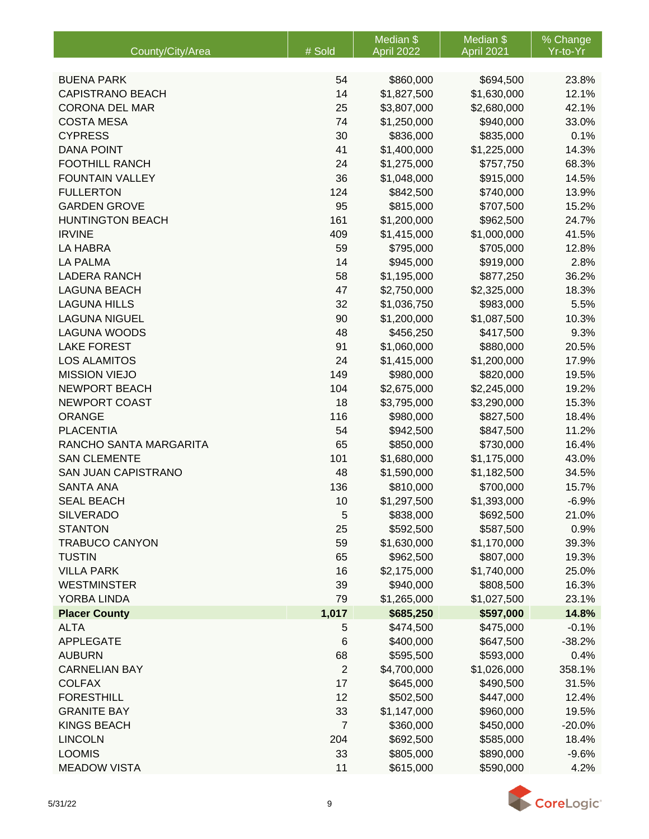|                            |                | Median \$   | Median \$   | % Change |
|----------------------------|----------------|-------------|-------------|----------|
| County/City/Area           | # Sold         | April 2022  | April 2021  | Yr-to-Yr |
|                            |                |             |             |          |
| <b>BUENA PARK</b>          | 54             | \$860,000   | \$694,500   | 23.8%    |
| <b>CAPISTRANO BEACH</b>    | 14             | \$1,827,500 | \$1,630,000 | 12.1%    |
| <b>CORONA DEL MAR</b>      | 25             | \$3,807,000 | \$2,680,000 | 42.1%    |
| <b>COSTA MESA</b>          | 74             | \$1,250,000 | \$940,000   | 33.0%    |
| <b>CYPRESS</b>             | 30             | \$836,000   | \$835,000   | 0.1%     |
| <b>DANA POINT</b>          | 41             | \$1,400,000 | \$1,225,000 | 14.3%    |
| <b>FOOTHILL RANCH</b>      | 24             | \$1,275,000 | \$757,750   | 68.3%    |
| <b>FOUNTAIN VALLEY</b>     | 36             | \$1,048,000 | \$915,000   | 14.5%    |
| <b>FULLERTON</b>           | 124            | \$842,500   | \$740,000   | 13.9%    |
| <b>GARDEN GROVE</b>        | 95             | \$815,000   | \$707,500   | 15.2%    |
| <b>HUNTINGTON BEACH</b>    | 161            | \$1,200,000 | \$962,500   | 24.7%    |
| <b>IRVINE</b>              | 409            | \$1,415,000 | \$1,000,000 | 41.5%    |
| <b>LA HABRA</b>            | 59             | \$795,000   | \$705,000   | 12.8%    |
| <b>LA PALMA</b>            | 14             | \$945,000   | \$919,000   | 2.8%     |
| <b>LADERA RANCH</b>        | 58             | \$1,195,000 | \$877,250   | 36.2%    |
| <b>LAGUNA BEACH</b>        | 47             | \$2,750,000 | \$2,325,000 | 18.3%    |
| <b>LAGUNA HILLS</b>        | 32             | \$1,036,750 | \$983,000   | 5.5%     |
| <b>LAGUNA NIGUEL</b>       | 90             | \$1,200,000 | \$1,087,500 | 10.3%    |
| <b>LAGUNA WOODS</b>        | 48             | \$456,250   | \$417,500   | 9.3%     |
| <b>LAKE FOREST</b>         | 91             | \$1,060,000 | \$880,000   | 20.5%    |
| <b>LOS ALAMITOS</b>        | 24             | \$1,415,000 | \$1,200,000 | 17.9%    |
| <b>MISSION VIEJO</b>       | 149            | \$980,000   | \$820,000   | 19.5%    |
| <b>NEWPORT BEACH</b>       | 104            | \$2,675,000 | \$2,245,000 | 19.2%    |
| NEWPORT COAST              | 18             | \$3,795,000 | \$3,290,000 | 15.3%    |
| <b>ORANGE</b>              | 116            | \$980,000   | \$827,500   | 18.4%    |
| <b>PLACENTIA</b>           | 54             | \$942,500   | \$847,500   | 11.2%    |
| RANCHO SANTA MARGARITA     | 65             | \$850,000   | \$730,000   | 16.4%    |
| <b>SAN CLEMENTE</b>        | 101            | \$1,680,000 | \$1,175,000 | 43.0%    |
| <b>SAN JUAN CAPISTRANO</b> | 48             | \$1,590,000 | \$1,182,500 | 34.5%    |
| <b>SANTA ANA</b>           | 136            | \$810,000   | \$700,000   | 15.7%    |
| <b>SEAL BEACH</b>          | 10             | \$1,297,500 | \$1,393,000 | $-6.9%$  |
| <b>SILVERADO</b>           | 5              | \$838,000   | \$692,500   | 21.0%    |
| <b>STANTON</b>             | 25             | \$592,500   | \$587,500   | 0.9%     |
| <b>TRABUCO CANYON</b>      | 59             | \$1,630,000 | \$1,170,000 | 39.3%    |
| <b>TUSTIN</b>              | 65             | \$962,500   | \$807,000   | 19.3%    |
| <b>VILLA PARK</b>          | 16             | \$2,175,000 | \$1,740,000 | 25.0%    |
| <b>WESTMINSTER</b>         | 39             | \$940,000   | \$808,500   | 16.3%    |
| YORBA LINDA                | 79             | \$1,265,000 | \$1,027,500 | 23.1%    |
| <b>Placer County</b>       | 1,017          | \$685,250   | \$597,000   | 14.8%    |
| <b>ALTA</b>                | 5              | \$474,500   | \$475,000   | $-0.1%$  |
| <b>APPLEGATE</b>           | 6              | \$400,000   | \$647,500   | $-38.2%$ |
| <b>AUBURN</b>              | 68             | \$595,500   | \$593,000   | 0.4%     |
| <b>CARNELIAN BAY</b>       | 2              | \$4,700,000 | \$1,026,000 | 358.1%   |
| <b>COLFAX</b>              | 17             | \$645,000   | \$490,500   | 31.5%    |
| <b>FORESTHILL</b>          | 12             | \$502,500   | \$447,000   | 12.4%    |
| <b>GRANITE BAY</b>         | 33             | \$1,147,000 | \$960,000   | 19.5%    |
| <b>KINGS BEACH</b>         | $\overline{7}$ | \$360,000   | \$450,000   | $-20.0%$ |
| <b>LINCOLN</b>             | 204            | \$692,500   | \$585,000   | 18.4%    |
| <b>LOOMIS</b>              | 33             | \$805,000   | \$890,000   | $-9.6%$  |
| <b>MEADOW VISTA</b>        | 11             | \$615,000   | \$590,000   | 4.2%     |

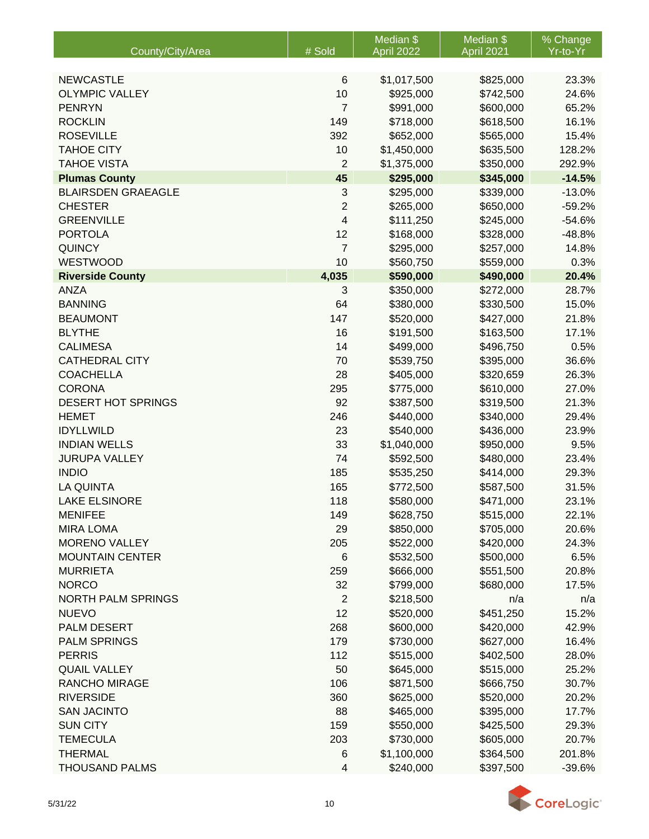|                           |                | Median <sub>\$</sub> | Median \$  | % Change |
|---------------------------|----------------|----------------------|------------|----------|
| County/City/Area          | # Sold         | April 2022           | April 2021 | Yr-to-Yr |
|                           |                |                      |            |          |
| <b>NEWCASTLE</b>          | $\,6$          | \$1,017,500          | \$825,000  | 23.3%    |
| <b>OLYMPIC VALLEY</b>     | 10             | \$925,000            | \$742,500  | 24.6%    |
| <b>PENRYN</b>             | $\overline{7}$ | \$991,000            | \$600,000  | 65.2%    |
| <b>ROCKLIN</b>            | 149            | \$718,000            | \$618,500  | 16.1%    |
| <b>ROSEVILLE</b>          | 392            | \$652,000            | \$565,000  | 15.4%    |
| <b>TAHOE CITY</b>         | 10             | \$1,450,000          | \$635,500  | 128.2%   |
| <b>TAHOE VISTA</b>        | $\overline{2}$ | \$1,375,000          | \$350,000  | 292.9%   |
| <b>Plumas County</b>      | 45             | \$295,000            | \$345,000  | $-14.5%$ |
| <b>BLAIRSDEN GRAEAGLE</b> | 3              | \$295,000            | \$339,000  | $-13.0%$ |
| <b>CHESTER</b>            | 2              | \$265,000            | \$650,000  | $-59.2%$ |
| <b>GREENVILLE</b>         | 4              | \$111,250            | \$245,000  | $-54.6%$ |
| <b>PORTOLA</b>            | 12             | \$168,000            | \$328,000  | $-48.8%$ |
| <b>QUINCY</b>             | $\overline{7}$ | \$295,000            | \$257,000  | 14.8%    |
| WESTWOOD                  | 10             | \$560,750            | \$559,000  | 0.3%     |
| <b>Riverside County</b>   | 4,035          | \$590,000            | \$490,000  | 20.4%    |
| <b>ANZA</b>               | 3              | \$350,000            | \$272,000  | 28.7%    |
| <b>BANNING</b>            | 64             | \$380,000            | \$330,500  | 15.0%    |
| <b>BEAUMONT</b>           | 147            | \$520,000            | \$427,000  | 21.8%    |
| <b>BLYTHE</b>             | 16             | \$191,500            | \$163,500  | 17.1%    |
| <b>CALIMESA</b>           | 14             | \$499,000            | \$496,750  | 0.5%     |
| <b>CATHEDRAL CITY</b>     | 70             | \$539,750            | \$395,000  | 36.6%    |
| <b>COACHELLA</b>          | 28             | \$405,000            | \$320,659  | 26.3%    |
| <b>CORONA</b>             | 295            | \$775,000            | \$610,000  | 27.0%    |
| DESERT HOT SPRINGS        | 92             | \$387,500            | \$319,500  | 21.3%    |
| <b>HEMET</b>              | 246            | \$440,000            | \$340,000  | 29.4%    |
| <b>IDYLLWILD</b>          | 23             | \$540,000            | \$436,000  | 23.9%    |
| <b>INDIAN WELLS</b>       | 33             | \$1,040,000          | \$950,000  | 9.5%     |
| <b>JURUPA VALLEY</b>      | 74             | \$592,500            | \$480,000  | 23.4%    |
| <b>INDIO</b>              | 185            | \$535,250            | \$414,000  | 29.3%    |
| <b>LA QUINTA</b>          | 165            | \$772,500            | \$587,500  | 31.5%    |
| <b>LAKE ELSINORE</b>      | 118            | \$580,000            | \$471,000  | 23.1%    |
| <b>MENIFEE</b>            | 149            | \$628,750            | \$515,000  | 22.1%    |
| <b>MIRA LOMA</b>          | 29             | \$850,000            | \$705,000  | 20.6%    |
| <b>MORENO VALLEY</b>      | 205            | \$522,000            | \$420,000  | 24.3%    |
| <b>MOUNTAIN CENTER</b>    | 6              | \$532,500            | \$500,000  | 6.5%     |
| <b>MURRIETA</b>           | 259            | \$666,000            | \$551,500  | 20.8%    |
| <b>NORCO</b>              | 32             | \$799,000            | \$680,000  | 17.5%    |
| <b>NORTH PALM SPRINGS</b> | $\overline{2}$ | \$218,500            | n/a        | n/a      |
| <b>NUEVO</b>              | 12             | \$520,000            | \$451,250  | 15.2%    |
| PALM DESERT               | 268            | \$600,000            | \$420,000  | 42.9%    |
| <b>PALM SPRINGS</b>       | 179            | \$730,000            | \$627,000  | 16.4%    |
| <b>PERRIS</b>             | 112            | \$515,000            | \$402,500  | 28.0%    |
| <b>QUAIL VALLEY</b>       | 50             | \$645,000            | \$515,000  | 25.2%    |
| <b>RANCHO MIRAGE</b>      | 106            | \$871,500            | \$666,750  | 30.7%    |
| <b>RIVERSIDE</b>          | 360            | \$625,000            | \$520,000  | 20.2%    |
| <b>SAN JACINTO</b>        | 88             | \$465,000            | \$395,000  | 17.7%    |
| <b>SUN CITY</b>           | 159            | \$550,000            | \$425,500  | 29.3%    |
| <b>TEMECULA</b>           | 203            | \$730,000            | \$605,000  | 20.7%    |
| <b>THERMAL</b>            | $\,6$          | \$1,100,000          | \$364,500  | 201.8%   |
| <b>THOUSAND PALMS</b>     | 4              | \$240,000            | \$397,500  | $-39.6%$ |

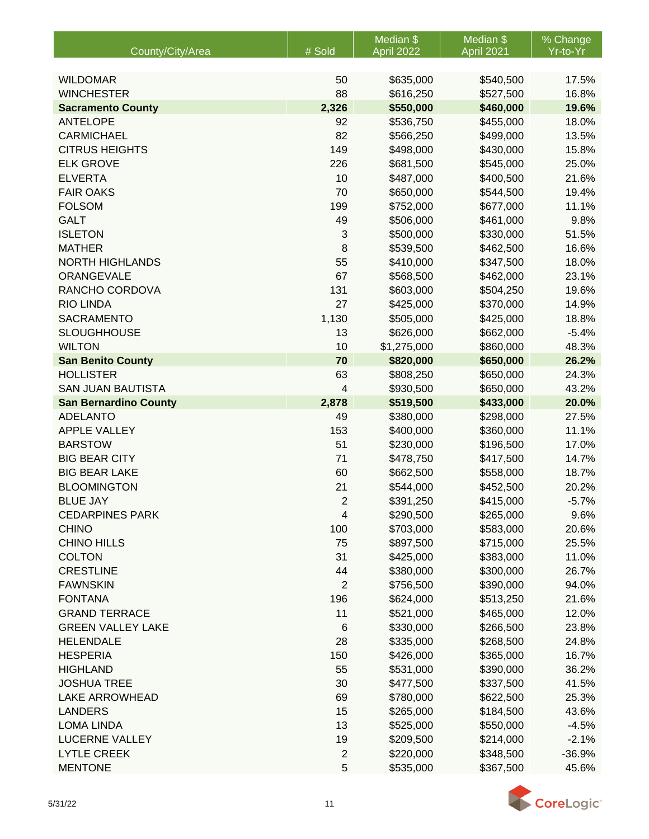|                                 |                 | Median \$                | Median \$              | % Change         |
|---------------------------------|-----------------|--------------------------|------------------------|------------------|
| County/City/Area                | # Sold          | April 2022               | April 2021             | Yr-to-Yr         |
|                                 |                 |                          |                        |                  |
| <b>WILDOMAR</b>                 | 50              | \$635,000                | \$540,500              | 17.5%            |
| <b>WINCHESTER</b>               | 88              | \$616,250                | \$527,500              | 16.8%            |
| <b>Sacramento County</b>        | 2,326           | \$550,000                | \$460,000              | 19.6%            |
| <b>ANTELOPE</b>                 | 92              | \$536,750                | \$455,000              | 18.0%            |
| <b>CARMICHAEL</b>               | 82              | \$566,250                | \$499,000              | 13.5%            |
| <b>CITRUS HEIGHTS</b>           | 149             | \$498,000                | \$430,000              | 15.8%            |
| <b>ELK GROVE</b>                | 226             | \$681,500                | \$545,000              | 25.0%            |
| <b>ELVERTA</b>                  | 10              | \$487,000                | \$400,500              | 21.6%            |
| <b>FAIR OAKS</b>                | 70              | \$650,000                | \$544,500              | 19.4%            |
| <b>FOLSOM</b>                   | 199             | \$752,000                | \$677,000              | 11.1%            |
| <b>GALT</b>                     | 49              | \$506,000                | \$461,000              | 9.8%             |
| <b>ISLETON</b><br><b>MATHER</b> | 3<br>8          | \$500,000<br>\$539,500   | \$330,000              | 51.5%            |
| <b>NORTH HIGHLANDS</b>          | 55              | \$410,000                | \$462,500              | 16.6%<br>18.0%   |
| ORANGEVALE                      | 67              |                          | \$347,500              | 23.1%            |
| RANCHO CORDOVA                  | 131             | \$568,500<br>\$603,000   | \$462,000              |                  |
| <b>RIO LINDA</b>                | 27              | \$425,000                | \$504,250              | 19.6%<br>14.9%   |
| <b>SACRAMENTO</b>               |                 | \$505,000                | \$370,000<br>\$425,000 | 18.8%            |
| <b>SLOUGHHOUSE</b>              | 1,130<br>13     |                          | \$662,000              |                  |
| <b>WILTON</b>                   | 10              | \$626,000                |                        | $-5.4%$<br>48.3% |
| <b>San Benito County</b>        | 70              | \$1,275,000<br>\$820,000 | \$860,000<br>\$650,000 | 26.2%            |
| <b>HOLLISTER</b>                | 63              | \$808,250                | \$650,000              | 24.3%            |
| <b>SAN JUAN BAUTISTA</b>        | 4               | \$930,500                | \$650,000              | 43.2%            |
| <b>San Bernardino County</b>    | 2,878           | \$519,500                | \$433,000              | 20.0%            |
| <b>ADELANTO</b>                 | 49              | \$380,000                | \$298,000              | 27.5%            |
| <b>APPLE VALLEY</b>             | 153             | \$400,000                | \$360,000              | 11.1%            |
| <b>BARSTOW</b>                  | 51              | \$230,000                | \$196,500              | 17.0%            |
| <b>BIG BEAR CITY</b>            | 71              | \$478,750                | \$417,500              | 14.7%            |
| <b>BIG BEAR LAKE</b>            | 60              | \$662,500                | \$558,000              | 18.7%            |
| <b>BLOOMINGTON</b>              | 21              | \$544,000                | \$452,500              | 20.2%            |
| <b>BLUE JAY</b>                 | $\overline{2}$  | \$391,250                | \$415,000              | $-5.7%$          |
| <b>CEDARPINES PARK</b>          | 4               | \$290,500                | \$265,000              | 9.6%             |
| <b>CHINO</b>                    | 100             | \$703,000                | \$583,000              | 20.6%            |
| <b>CHINO HILLS</b>              | 75              | \$897,500                | \$715,000              | 25.5%            |
| <b>COLTON</b>                   | 31              | \$425,000                | \$383,000              | 11.0%            |
| <b>CRESTLINE</b>                | 44              | \$380,000                | \$300,000              | 26.7%            |
| <b>FAWNSKIN</b>                 | $\overline{2}$  | \$756,500                | \$390,000              | 94.0%            |
| <b>FONTANA</b>                  | 196             | \$624,000                | \$513,250              | 21.6%            |
| <b>GRAND TERRACE</b>            | 11              | \$521,000                | \$465,000              | 12.0%            |
| <b>GREEN VALLEY LAKE</b>        | $6\phantom{1}6$ | \$330,000                | \$266,500              | 23.8%            |
| <b>HELENDALE</b>                | 28              | \$335,000                | \$268,500              | 24.8%            |
| <b>HESPERIA</b>                 | 150             | \$426,000                | \$365,000              | 16.7%            |
| <b>HIGHLAND</b>                 | 55              | \$531,000                | \$390,000              | 36.2%            |
| <b>JOSHUA TREE</b>              | 30              | \$477,500                | \$337,500              | 41.5%            |
| <b>LAKE ARROWHEAD</b>           | 69              | \$780,000                | \$622,500              | 25.3%            |
| <b>LANDERS</b>                  | 15              | \$265,000                | \$184,500              | 43.6%            |
| <b>LOMA LINDA</b>               | 13              | \$525,000                | \$550,000              | $-4.5%$          |
| <b>LUCERNE VALLEY</b>           | 19              | \$209,500                | \$214,000              | $-2.1%$          |
| <b>LYTLE CREEK</b>              | $\mathbf 2$     | \$220,000                | \$348,500              | $-36.9%$         |
| <b>MENTONE</b>                  | 5               | \$535,000                | \$367,500              | 45.6%            |

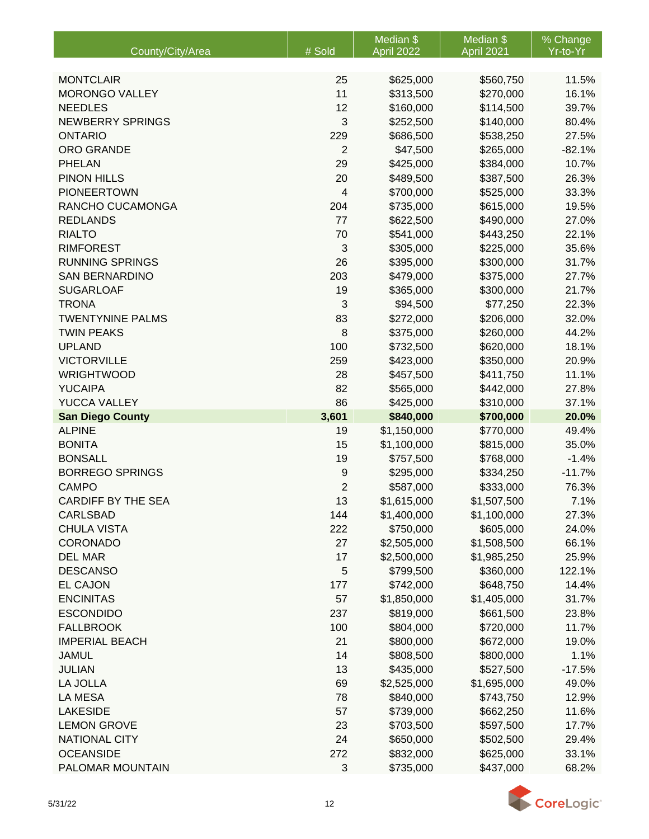|                           |                         | Median \$   | Median \$   | % Change |
|---------------------------|-------------------------|-------------|-------------|----------|
| County/City/Area          | # Sold                  | April 2022  | April 2021  | Yr-to-Yr |
|                           |                         |             |             |          |
| <b>MONTCLAIR</b>          | 25                      | \$625,000   | \$560,750   | 11.5%    |
| <b>MORONGO VALLEY</b>     | 11                      | \$313,500   | \$270,000   | 16.1%    |
| <b>NEEDLES</b>            | 12                      | \$160,000   | \$114,500   | 39.7%    |
| <b>NEWBERRY SPRINGS</b>   | 3                       | \$252,500   | \$140,000   | 80.4%    |
| <b>ONTARIO</b>            | 229                     | \$686,500   | \$538,250   | 27.5%    |
| ORO GRANDE                | $\overline{2}$          | \$47,500    | \$265,000   | $-82.1%$ |
| <b>PHELAN</b>             | 29                      | \$425,000   | \$384,000   | 10.7%    |
| <b>PINON HILLS</b>        | 20                      | \$489,500   | \$387,500   | 26.3%    |
| <b>PIONEERTOWN</b>        | $\overline{\mathbf{4}}$ | \$700,000   | \$525,000   | 33.3%    |
| RANCHO CUCAMONGA          | 204                     | \$735,000   | \$615,000   | 19.5%    |
| <b>REDLANDS</b>           | 77                      | \$622,500   | \$490,000   | 27.0%    |
| <b>RIALTO</b>             | 70                      | \$541,000   | \$443,250   | 22.1%    |
| <b>RIMFOREST</b>          | 3                       | \$305,000   | \$225,000   | 35.6%    |
| <b>RUNNING SPRINGS</b>    | 26                      | \$395,000   | \$300,000   | 31.7%    |
| <b>SAN BERNARDINO</b>     | 203                     | \$479,000   | \$375,000   | 27.7%    |
| <b>SUGARLOAF</b>          | 19                      | \$365,000   | \$300,000   | 21.7%    |
| <b>TRONA</b>              | 3                       | \$94,500    | \$77,250    | 22.3%    |
| <b>TWENTYNINE PALMS</b>   | 83                      | \$272,000   | \$206,000   | 32.0%    |
| <b>TWIN PEAKS</b>         | 8                       | \$375,000   | \$260,000   | 44.2%    |
| <b>UPLAND</b>             | 100                     | \$732,500   | \$620,000   | 18.1%    |
| <b>VICTORVILLE</b>        | 259                     | \$423,000   | \$350,000   | 20.9%    |
| <b>WRIGHTWOOD</b>         | 28                      | \$457,500   | \$411,750   | 11.1%    |
| <b>YUCAIPA</b>            | 82                      | \$565,000   | \$442,000   | 27.8%    |
| YUCCA VALLEY              | 86                      | \$425,000   | \$310,000   | 37.1%    |
| <b>San Diego County</b>   | 3,601                   | \$840,000   | \$700,000   | 20.0%    |
| <b>ALPINE</b>             | 19                      | \$1,150,000 | \$770,000   | 49.4%    |
| <b>BONITA</b>             | 15                      | \$1,100,000 | \$815,000   | 35.0%    |
| <b>BONSALL</b>            | 19                      | \$757,500   | \$768,000   | $-1.4%$  |
| <b>BORREGO SPRINGS</b>    | 9                       | \$295,000   | \$334,250   | $-11.7%$ |
| <b>CAMPO</b>              | $\overline{2}$          | \$587,000   | \$333,000   | 76.3%    |
| <b>CARDIFF BY THE SEA</b> | 13                      | \$1,615,000 | \$1,507,500 | 7.1%     |
| <b>CARLSBAD</b>           | 144                     | \$1,400,000 | \$1,100,000 | 27.3%    |
| <b>CHULA VISTA</b>        | 222                     | \$750,000   | \$605,000   | 24.0%    |
| <b>CORONADO</b>           | 27                      | \$2,505,000 | \$1,508,500 | 66.1%    |
| <b>DEL MAR</b>            | 17                      | \$2,500,000 | \$1,985,250 | 25.9%    |
| <b>DESCANSO</b>           | 5                       | \$799,500   | \$360,000   | 122.1%   |
| <b>EL CAJON</b>           | 177                     | \$742,000   | \$648,750   | 14.4%    |
| <b>ENCINITAS</b>          | 57                      | \$1,850,000 | \$1,405,000 | 31.7%    |
| <b>ESCONDIDO</b>          | 237                     | \$819,000   | \$661,500   | 23.8%    |
| <b>FALLBROOK</b>          | 100                     | \$804,000   | \$720,000   | 11.7%    |
| <b>IMPERIAL BEACH</b>     |                         | \$800,000   |             |          |
|                           | 21                      |             | \$672,000   | 19.0%    |
| <b>JAMUL</b>              | 14                      | \$808,500   | \$800,000   | 1.1%     |
| <b>JULIAN</b>             | 13                      | \$435,000   | \$527,500   | $-17.5%$ |
| LA JOLLA                  | 69                      | \$2,525,000 | \$1,695,000 | 49.0%    |
| LA MESA                   | 78                      | \$840,000   | \$743,750   | 12.9%    |
| <b>LAKESIDE</b>           | 57                      | \$739,000   | \$662,250   | 11.6%    |
| <b>LEMON GROVE</b>        | 23                      | \$703,500   | \$597,500   | 17.7%    |
| <b>NATIONAL CITY</b>      | 24                      | \$650,000   | \$502,500   | 29.4%    |
| <b>OCEANSIDE</b>          | 272                     | \$832,000   | \$625,000   | 33.1%    |
| PALOMAR MOUNTAIN          | 3                       | \$735,000   | \$437,000   | 68.2%    |

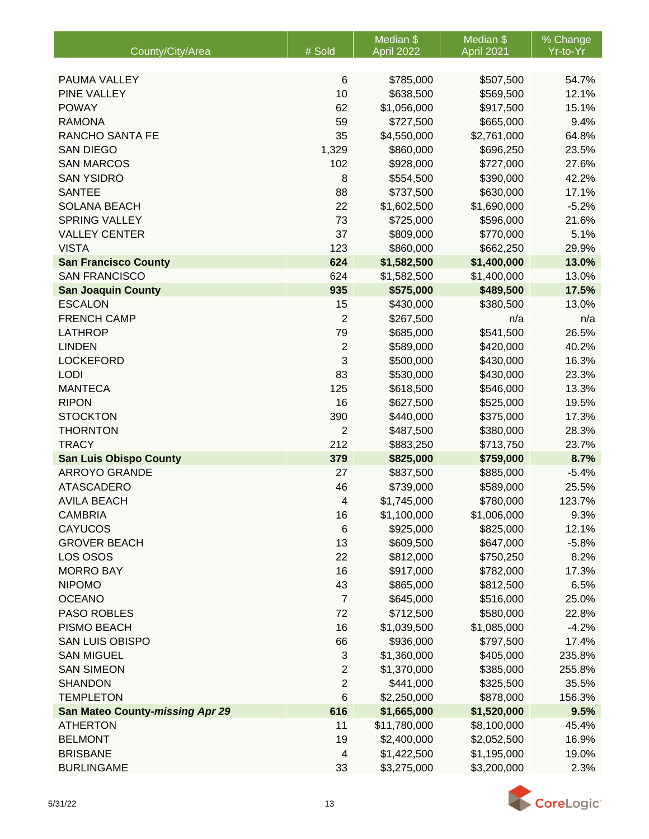|                                        |                  | Median \$    | Median <sub>\$</sub> | % Change |
|----------------------------------------|------------------|--------------|----------------------|----------|
| County/City/Area                       | # Sold           | April 2022   | April 2021           | Yr-to-Yr |
|                                        |                  |              |                      |          |
| PAUMA VALLEY                           | 6                | \$785,000    | \$507,500            | 54.7%    |
| PINE VALLEY                            | 10               | \$638,500    | \$569,500            | 12.1%    |
| <b>POWAY</b>                           | 62               | \$1,056,000  | \$917,500            | 15.1%    |
| <b>RAMONA</b>                          | 59               | \$727,500    | \$665,000            | 9.4%     |
| RANCHO SANTA FE                        | 35               | \$4,550,000  | \$2,761,000          | 64.8%    |
| <b>SAN DIEGO</b>                       | 1,329            | \$860,000    | \$696,250            | 23.5%    |
| <b>SAN MARCOS</b>                      | 102              | \$928,000    | \$727,000            | 27.6%    |
| <b>SAN YSIDRO</b>                      | 8                | \$554,500    | \$390,000            | 42.2%    |
| <b>SANTEE</b>                          | 88               | \$737,500    | \$630,000            | 17.1%    |
| <b>SOLANA BEACH</b>                    | 22               | \$1,602,500  | \$1,690,000          | $-5.2%$  |
| <b>SPRING VALLEY</b>                   | 73               | \$725,000    | \$596,000            | 21.6%    |
| <b>VALLEY CENTER</b>                   | 37               | \$809,000    | \$770,000            | 5.1%     |
| <b>VISTA</b>                           | 123              | \$860,000    | \$662,250            | 29.9%    |
| <b>San Francisco County</b>            | 624              | \$1,582,500  | \$1,400,000          | 13.0%    |
| <b>SAN FRANCISCO</b>                   | 624              | \$1,582,500  | \$1,400,000          | 13.0%    |
| <b>San Joaquin County</b>              | 935              | \$575,000    | \$489,500            | 17.5%    |
| <b>ESCALON</b>                         | 15               | \$430,000    | \$380,500            | 13.0%    |
| <b>FRENCH CAMP</b>                     | $\overline{2}$   | \$267,500    | n/a                  | n/a      |
| <b>LATHROP</b>                         | 79               | \$685,000    | \$541,500            | 26.5%    |
| <b>LINDEN</b>                          | $\boldsymbol{2}$ | \$589,000    | \$420,000            | 40.2%    |
| <b>LOCKEFORD</b>                       | 3                | \$500,000    | \$430,000            | 16.3%    |
| <b>LODI</b>                            | 83               | \$530,000    | \$430,000            | 23.3%    |
| <b>MANTECA</b>                         | 125              | \$618,500    | \$546,000            | 13.3%    |
| <b>RIPON</b>                           | 16               | \$627,500    | \$525,000            | 19.5%    |
| <b>STOCKTON</b>                        | 390              | \$440,000    | \$375,000            | 17.3%    |
| <b>THORNTON</b>                        | $\overline{2}$   | \$487,500    | \$380,000            | 28.3%    |
| <b>TRACY</b>                           | 212              | \$883,250    | \$713,750            | 23.7%    |
| <b>San Luis Obispo County</b>          | 379              | \$825,000    | \$759,000            | 8.7%     |
| <b>ARROYO GRANDE</b>                   | 27               | \$837,500    | \$885,000            | $-5.4%$  |
| <b>ATASCADERO</b>                      | 46               | \$739,000    | \$589,000            | 25.5%    |
| <b>AVILA BEACH</b>                     | 4                | \$1,745,000  | \$780,000            | 123.7%   |
| <b>CAMBRIA</b>                         | 16               | \$1,100,000  | \$1,006,000          | 9.3%     |
| <b>CAYUCOS</b>                         | 6                | \$925,000    | \$825,000            | 12.1%    |
| <b>GROVER BEACH</b>                    | 13               | \$609,500    | \$647,000            | $-5.8%$  |
| LOS OSOS                               | 22               | \$812,000    | \$750,250            | 8.2%     |
| <b>MORRO BAY</b>                       | 16               | \$917,000    | \$782,000            | 17.3%    |
| <b>NIPOMO</b>                          | 43               | \$865,000    | \$812,500            | 6.5%     |
| <b>OCEANO</b>                          | $\overline{7}$   | \$645,000    | \$516,000            | 25.0%    |
| <b>PASO ROBLES</b>                     | 72               | \$712,500    | \$580,000            | 22.8%    |
| PISMO BEACH                            | 16               | \$1,039,500  | \$1,085,000          | $-4.2%$  |
| <b>SAN LUIS OBISPO</b>                 | 66               | \$936,000    | \$797,500            | 17.4%    |
| <b>SAN MIGUEL</b>                      | 3                | \$1,360,000  | \$405,000            | 235.8%   |
| <b>SAN SIMEON</b>                      | $\mathbf{2}$     | \$1,370,000  | \$385,000            | 255.8%   |
| <b>SHANDON</b>                         | 2                | \$441,000    | \$325,500            | 35.5%    |
| <b>TEMPLETON</b>                       | 6                | \$2,250,000  | \$878,000            | 156.3%   |
| <b>San Mateo County-missing Apr 29</b> | 616              | \$1,665,000  | \$1,520,000          | 9.5%     |
| <b>ATHERTON</b>                        | 11               | \$11,780,000 | \$8,100,000          | 45.4%    |
| <b>BELMONT</b>                         | 19               | \$2,400,000  | \$2,052,500          | 16.9%    |
| <b>BRISBANE</b>                        | 4                | \$1,422,500  | \$1,195,000          | 19.0%    |
| <b>BURLINGAME</b>                      | 33               | \$3,275,000  | \$3,200,000          | 2.3%     |

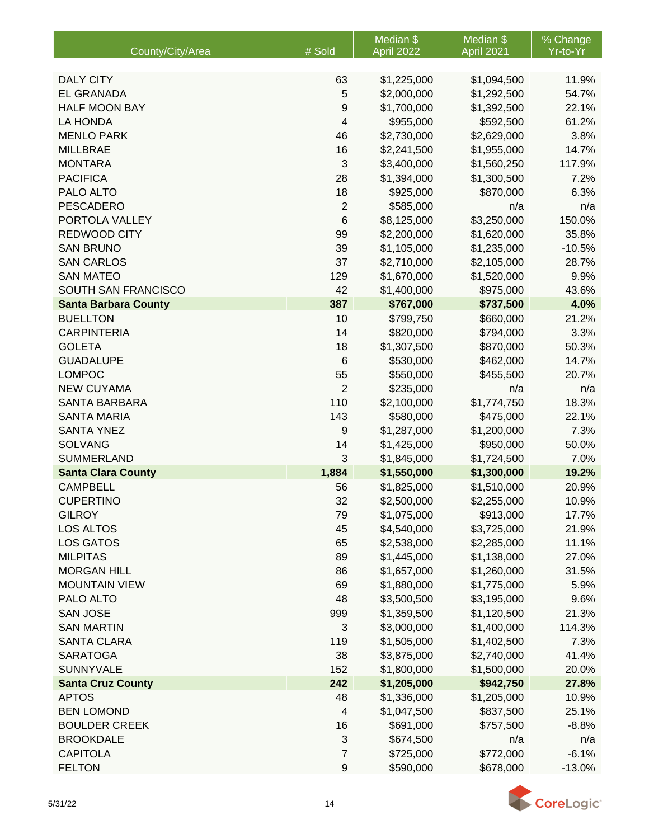|                             |                 | Median \$   | Median \$   | % Change |
|-----------------------------|-----------------|-------------|-------------|----------|
| County/City/Area            | # Sold          | April 2022  | April 2021  | Yr-to-Yr |
| <b>DALY CITY</b>            | 63              | \$1,225,000 | \$1,094,500 | 11.9%    |
| <b>EL GRANADA</b>           | 5               | \$2,000,000 | \$1,292,500 | 54.7%    |
| <b>HALF MOON BAY</b>        | 9               | \$1,700,000 | \$1,392,500 | 22.1%    |
| <b>LA HONDA</b>             | 4               | \$955,000   | \$592,500   | 61.2%    |
| <b>MENLO PARK</b>           | 46              | \$2,730,000 | \$2,629,000 | 3.8%     |
| <b>MILLBRAE</b>             | 16              | \$2,241,500 | \$1,955,000 | 14.7%    |
| <b>MONTARA</b>              | $\mathfrak{3}$  | \$3,400,000 | \$1,560,250 | 117.9%   |
| <b>PACIFICA</b>             | 28              | \$1,394,000 | \$1,300,500 | 7.2%     |
| PALO ALTO                   | 18              | \$925,000   | \$870,000   | 6.3%     |
| <b>PESCADERO</b>            | $\overline{2}$  | \$585,000   | n/a         | n/a      |
| PORTOLA VALLEY              | 6               | \$8,125,000 | \$3,250,000 | 150.0%   |
| REDWOOD CITY                | 99              | \$2,200,000 | \$1,620,000 | 35.8%    |
| <b>SAN BRUNO</b>            | 39              | \$1,105,000 | \$1,235,000 | $-10.5%$ |
| <b>SAN CARLOS</b>           | 37              | \$2,710,000 | \$2,105,000 | 28.7%    |
| <b>SAN MATEO</b>            | 129             | \$1,670,000 | \$1,520,000 | 9.9%     |
| SOUTH SAN FRANCISCO         | 42              | \$1,400,000 | \$975,000   | 43.6%    |
| <b>Santa Barbara County</b> | 387             | \$767,000   | \$737,500   | 4.0%     |
| <b>BUELLTON</b>             | 10              | \$799,750   | \$660,000   | 21.2%    |
| <b>CARPINTERIA</b>          | 14              | \$820,000   | \$794,000   | 3.3%     |
| <b>GOLETA</b>               | 18              | \$1,307,500 | \$870,000   | 50.3%    |
| <b>GUADALUPE</b>            | $6\phantom{1}6$ | \$530,000   | \$462,000   | 14.7%    |
| <b>LOMPOC</b>               | 55              | \$550,000   | \$455,500   | 20.7%    |
| <b>NEW CUYAMA</b>           | $\overline{2}$  | \$235,000   | n/a         | n/a      |
| <b>SANTA BARBARA</b>        | 110             | \$2,100,000 | \$1,774,750 | 18.3%    |
| <b>SANTA MARIA</b>          | 143             | \$580,000   | \$475,000   | 22.1%    |
| <b>SANTA YNEZ</b>           | 9               | \$1,287,000 | \$1,200,000 | 7.3%     |
| <b>SOLVANG</b>              | 14              | \$1,425,000 | \$950,000   | 50.0%    |
| <b>SUMMERLAND</b>           | 3               | \$1,845,000 | \$1,724,500 | 7.0%     |
| <b>Santa Clara County</b>   | 1,884           | \$1,550,000 | \$1,300,000 | 19.2%    |
| <b>CAMPBELL</b>             | 56              | \$1,825,000 | \$1,510,000 | 20.9%    |
| <b>CUPERTINO</b>            | 32              | \$2,500,000 | \$2,255,000 | 10.9%    |
| <b>GILROY</b>               | 79              | \$1,075,000 | \$913,000   | 17.7%    |
| LOS ALTOS                   | 45              | \$4,540,000 | \$3,725,000 | 21.9%    |
| <b>LOS GATOS</b>            | 65              | \$2,538,000 | \$2,285,000 | 11.1%    |
| <b>MILPITAS</b>             | 89              | \$1,445,000 | \$1,138,000 | 27.0%    |
| <b>MORGAN HILL</b>          | 86              | \$1,657,000 | \$1,260,000 | 31.5%    |
| <b>MOUNTAIN VIEW</b>        | 69              | \$1,880,000 | \$1,775,000 | 5.9%     |
| PALO ALTO                   | 48              | \$3,500,500 | \$3,195,000 | 9.6%     |
| <b>SAN JOSE</b>             | 999             | \$1,359,500 | \$1,120,500 | 21.3%    |
| <b>SAN MARTIN</b>           | 3               | \$3,000,000 | \$1,400,000 | 114.3%   |
| <b>SANTA CLARA</b>          | 119             | \$1,505,000 | \$1,402,500 | 7.3%     |
| <b>SARATOGA</b>             | 38              | \$3,875,000 | \$2,740,000 | 41.4%    |
| <b>SUNNYVALE</b>            | 152             | \$1,800,000 | \$1,500,000 | 20.0%    |
| <b>Santa Cruz County</b>    | 242             | \$1,205,000 | \$942,750   | 27.8%    |
| <b>APTOS</b>                | 48              | \$1,336,000 | \$1,205,000 | 10.9%    |
| <b>BEN LOMOND</b>           | 4               | \$1,047,500 | \$837,500   | 25.1%    |
| <b>BOULDER CREEK</b>        | 16              | \$691,000   | \$757,500   | $-8.8%$  |
| <b>BROOKDALE</b>            | 3               | \$674,500   | n/a         | n/a      |
| <b>CAPITOLA</b>             | 7               | \$725,000   | \$772,000   | $-6.1%$  |
| <b>FELTON</b>               | 9               | \$590,000   | \$678,000   | $-13.0%$ |

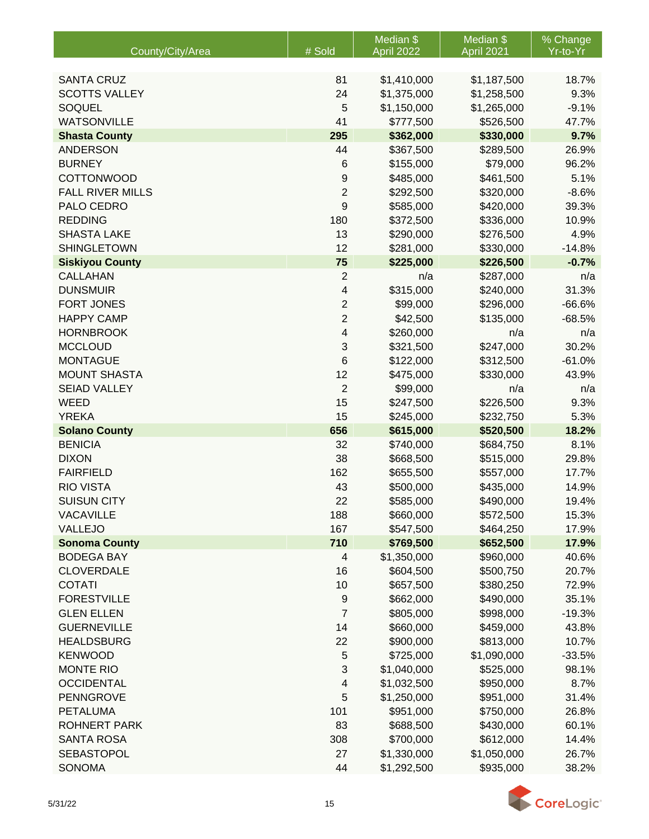|                         |                  | Median \$   | Median \$   | % Change |
|-------------------------|------------------|-------------|-------------|----------|
| County/City/Area        | # Sold           | April 2022  | April 2021  | Yr-to-Yr |
|                         |                  |             |             |          |
| <b>SANTA CRUZ</b>       | 81               | \$1,410,000 | \$1,187,500 | 18.7%    |
| <b>SCOTTS VALLEY</b>    | 24               | \$1,375,000 | \$1,258,500 | 9.3%     |
| <b>SOQUEL</b>           | 5                | \$1,150,000 | \$1,265,000 | $-9.1%$  |
| <b>WATSONVILLE</b>      | 41               | \$777,500   | \$526,500   | 47.7%    |
| <b>Shasta County</b>    | 295              | \$362,000   | \$330,000   | 9.7%     |
| <b>ANDERSON</b>         | 44               | \$367,500   | \$289,500   | 26.9%    |
| <b>BURNEY</b>           | 6                | \$155,000   | \$79,000    | 96.2%    |
| <b>COTTONWOOD</b>       | $\boldsymbol{9}$ | \$485,000   | \$461,500   | 5.1%     |
| <b>FALL RIVER MILLS</b> | $\overline{c}$   | \$292,500   | \$320,000   | $-8.6%$  |
| PALO CEDRO              | 9                | \$585,000   | \$420,000   | 39.3%    |
| <b>REDDING</b>          | 180              | \$372,500   | \$336,000   | 10.9%    |
| <b>SHASTA LAKE</b>      | 13               | \$290,000   | \$276,500   | 4.9%     |
| <b>SHINGLETOWN</b>      | 12               | \$281,000   | \$330,000   | $-14.8%$ |
| <b>Siskiyou County</b>  | 75               | \$225,000   | \$226,500   | $-0.7%$  |
| <b>CALLAHAN</b>         | $\boldsymbol{2}$ | n/a         | \$287,000   | n/a      |
| <b>DUNSMUIR</b>         | 4                | \$315,000   | \$240,000   | 31.3%    |
| <b>FORT JONES</b>       | $\overline{2}$   | \$99,000    | \$296,000   | $-66.6%$ |
| <b>HAPPY CAMP</b>       | $\overline{c}$   | \$42,500    | \$135,000   | $-68.5%$ |
| <b>HORNBROOK</b>        | 4                | \$260,000   | n/a         | n/a      |
| <b>MCCLOUD</b>          | 3                | \$321,500   | \$247,000   | 30.2%    |
| <b>MONTAGUE</b>         | 6                | \$122,000   | \$312,500   | $-61.0%$ |
| <b>MOUNT SHASTA</b>     | 12               | \$475,000   | \$330,000   | 43.9%    |
| <b>SEIAD VALLEY</b>     | $\overline{2}$   | \$99,000    | n/a         | n/a      |
| <b>WEED</b>             | 15               | \$247,500   | \$226,500   | 9.3%     |
| <b>YREKA</b>            | 15               | \$245,000   | \$232,750   | 5.3%     |
| <b>Solano County</b>    | 656              | \$615,000   | \$520,500   | 18.2%    |
| <b>BENICIA</b>          | 32               | \$740,000   | \$684,750   | 8.1%     |
| <b>DIXON</b>            | 38               | \$668,500   | \$515,000   | 29.8%    |
| <b>FAIRFIELD</b>        | 162              | \$655,500   | \$557,000   | 17.7%    |
| <b>RIO VISTA</b>        | 43               | \$500,000   | \$435,000   | 14.9%    |
| <b>SUISUN CITY</b>      | 22               | \$585,000   | \$490,000   | 19.4%    |
| <b>VACAVILLE</b>        | 188              | \$660,000   | \$572,500   | 15.3%    |
| VALLEJO                 | 167              | \$547,500   | \$464,250   | 17.9%    |
| <b>Sonoma County</b>    | 710              | \$769,500   | \$652,500   | 17.9%    |
| <b>BODEGA BAY</b>       | 4                | \$1,350,000 | \$960,000   | 40.6%    |
| <b>CLOVERDALE</b>       | 16               | \$604,500   | \$500,750   | 20.7%    |
| <b>COTATI</b>           | 10               | \$657,500   | \$380,250   | 72.9%    |
| <b>FORESTVILLE</b>      | 9                | \$662,000   | \$490,000   | 35.1%    |
| <b>GLEN ELLEN</b>       | $\overline{7}$   | \$805,000   | \$998,000   | $-19.3%$ |
| <b>GUERNEVILLE</b>      | 14               | \$660,000   | \$459,000   | 43.8%    |
| <b>HEALDSBURG</b>       | 22               | \$900,000   | \$813,000   | 10.7%    |
| <b>KENWOOD</b>          | $\mathbf 5$      | \$725,000   | \$1,090,000 | $-33.5%$ |
| <b>MONTE RIO</b>        | 3                | \$1,040,000 | \$525,000   | 98.1%    |
| <b>OCCIDENTAL</b>       | 4                | \$1,032,500 | \$950,000   | 8.7%     |
| <b>PENNGROVE</b>        | 5                | \$1,250,000 | \$951,000   | 31.4%    |
| <b>PETALUMA</b>         | 101              | \$951,000   | \$750,000   | 26.8%    |
| <b>ROHNERT PARK</b>     | 83               | \$688,500   | \$430,000   | 60.1%    |
| <b>SANTA ROSA</b>       | 308              | \$700,000   | \$612,000   | 14.4%    |
| <b>SEBASTOPOL</b>       | 27               | \$1,330,000 | \$1,050,000 | 26.7%    |
| <b>SONOMA</b>           | 44               | \$1,292,500 | \$935,000   | 38.2%    |

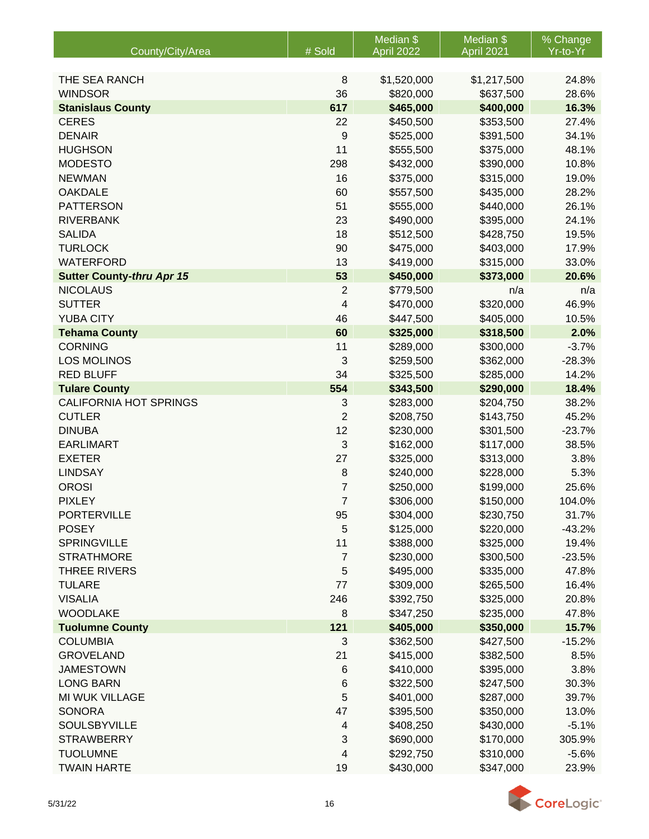|                                  |                         | Median \$                | Median \$                | % Change |
|----------------------------------|-------------------------|--------------------------|--------------------------|----------|
| County/City/Area                 | # Sold                  | April 2022               | April 2021               | Yr-to-Yr |
| THE SEA RANCH                    |                         |                          |                          | 24.8%    |
| <b>WINDSOR</b>                   | 8<br>36                 | \$1,520,000<br>\$820,000 | \$1,217,500<br>\$637,500 | 28.6%    |
| <b>Stanislaus County</b>         | 617                     | \$465,000                | \$400,000                | 16.3%    |
| <b>CERES</b>                     | 22                      | \$450,500                | \$353,500                | 27.4%    |
| <b>DENAIR</b>                    | 9                       | \$525,000                | \$391,500                | 34.1%    |
| <b>HUGHSON</b>                   | 11                      | \$555,500                | \$375,000                | 48.1%    |
| <b>MODESTO</b>                   | 298                     | \$432,000                | \$390,000                | 10.8%    |
| <b>NEWMAN</b>                    | 16                      | \$375,000                | \$315,000                | 19.0%    |
| <b>OAKDALE</b>                   | 60                      | \$557,500                | \$435,000                | 28.2%    |
| <b>PATTERSON</b>                 | 51                      | \$555,000                | \$440,000                | 26.1%    |
| <b>RIVERBANK</b>                 | 23                      | \$490,000                | \$395,000                | 24.1%    |
| <b>SALIDA</b>                    | 18                      | \$512,500                | \$428,750                | 19.5%    |
| <b>TURLOCK</b>                   | 90                      | \$475,000                | \$403,000                | 17.9%    |
| <b>WATERFORD</b>                 | 13                      | \$419,000                | \$315,000                | 33.0%    |
| <b>Sutter County-thru Apr 15</b> | 53                      | \$450,000                | \$373,000                | 20.6%    |
| <b>NICOLAUS</b>                  | $\overline{2}$          | \$779,500                | n/a                      | n/a      |
| <b>SUTTER</b>                    | 4                       | \$470,000                | \$320,000                | 46.9%    |
| <b>YUBA CITY</b>                 | 46                      | \$447,500                | \$405,000                | 10.5%    |
| <b>Tehama County</b>             | 60                      | \$325,000                | \$318,500                | 2.0%     |
| <b>CORNING</b>                   | 11                      | \$289,000                | \$300,000                | $-3.7%$  |
| <b>LOS MOLINOS</b>               | 3                       | \$259,500                | \$362,000                | $-28.3%$ |
| <b>RED BLUFF</b>                 | 34                      | \$325,500                | \$285,000                | 14.2%    |
| <b>Tulare County</b>             | 554                     | \$343,500                | \$290,000                | 18.4%    |
| <b>CALIFORNIA HOT SPRINGS</b>    | 3                       | \$283,000                | \$204,750                | 38.2%    |
| <b>CUTLER</b>                    | $\overline{2}$          | \$208,750                | \$143,750                | 45.2%    |
| <b>DINUBA</b>                    | 12                      | \$230,000                | \$301,500                | $-23.7%$ |
| <b>EARLIMART</b>                 | 3                       | \$162,000                | \$117,000                | 38.5%    |
| <b>EXETER</b>                    | 27                      | \$325,000                | \$313,000                | 3.8%     |
| <b>LINDSAY</b>                   | 8                       | \$240,000                | \$228,000                | 5.3%     |
| <b>OROSI</b>                     | $\overline{7}$          | \$250,000                | \$199,000                | 25.6%    |
| <b>PIXLEY</b>                    | $\overline{7}$          | \$306,000                | \$150,000                | 104.0%   |
| <b>PORTERVILLE</b>               | 95                      | \$304,000                | \$230,750                | 31.7%    |
| <b>POSEY</b>                     | 5                       | \$125,000                | \$220,000                | $-43.2%$ |
| <b>SPRINGVILLE</b>               | 11                      | \$388,000                | \$325,000                | 19.4%    |
| <b>STRATHMORE</b>                | $\overline{7}$          | \$230,000                | \$300,500                | $-23.5%$ |
| <b>THREE RIVERS</b>              | 5                       | \$495,000                | \$335,000                | 47.8%    |
| <b>TULARE</b>                    | 77                      | \$309,000                | \$265,500                | 16.4%    |
| <b>VISALIA</b>                   | 246                     | \$392,750                | \$325,000                | 20.8%    |
| <b>WOODLAKE</b>                  | 8                       | \$347,250                | \$235,000                | 47.8%    |
| <b>Tuolumne County</b>           | 121                     | \$405,000                | \$350,000                | 15.7%    |
| <b>COLUMBIA</b>                  | 3                       | \$362,500                | \$427,500                | $-15.2%$ |
| <b>GROVELAND</b>                 | 21                      | \$415,000                | \$382,500                | 8.5%     |
| <b>JAMESTOWN</b>                 | $\,6$                   | \$410,000                | \$395,000                | 3.8%     |
| <b>LONG BARN</b>                 | 6                       | \$322,500                | \$247,500                | 30.3%    |
| MI WUK VILLAGE                   | 5                       | \$401,000                | \$287,000                | 39.7%    |
| <b>SONORA</b>                    | 47                      | \$395,500                | \$350,000                | 13.0%    |
| <b>SOULSBYVILLE</b>              | $\overline{\mathbf{4}}$ | \$408,250                | \$430,000                | $-5.1%$  |
| <b>STRAWBERRY</b>                | $\sqrt{3}$              | \$690,000                | \$170,000                | 305.9%   |
| <b>TUOLUMNE</b>                  | 4                       | \$292,750                | \$310,000                | $-5.6%$  |
| <b>TWAIN HARTE</b>               | 19                      | \$430,000                | \$347,000                | 23.9%    |